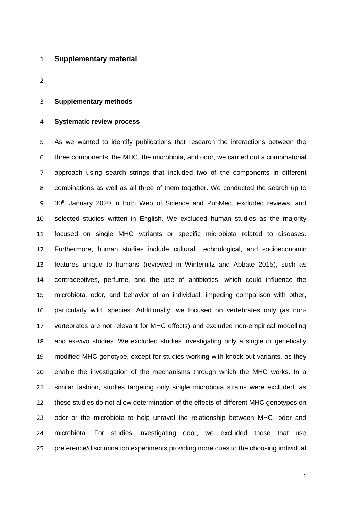### **Supplementary material**

### **Supplementary methods**

#### **Systematic review process**

 As we wanted to identify publications that research the interactions between the three components, the MHC, the microbiota, and odor, we carried out a combinatorial approach using search strings that included two of the components in different combinations as well as all three of them together. We conducted the search up to 9 30<sup>th</sup> January 2020 in both Web of Science and PubMed, excluded reviews, and selected studies written in English. We excluded human studies as the majority focused on single MHC variants or specific microbiota related to diseases. Furthermore, human studies include cultural, technological, and socioeconomic features unique to humans (reviewed in Winternitz and Abbate 2015), such as contraceptives, perfume, and the use of antibiotics, which could influence the microbiota, odor, and behavior of an individual, impeding comparison with other, particularly wild, species. Additionally, we focused on vertebrates only (as non- vertebrates are not relevant for MHC effects) and excluded non-empirical modelling and ex-vivo studies. We excluded studies investigating only a single or genetically modified MHC genotype, except for studies working with knock-out variants, as they enable the investigation of the mechanisms through which the MHC works. In a similar fashion, studies targeting only single microbiota strains were excluded, as these studies do not allow determination of the effects of different MHC genotypes on 23 odor or the microbiota to help unravel the relationship between MHC, odor and microbiota. For studies investigating odor, we excluded those that use preference/discrimination experiments providing more cues to the choosing individual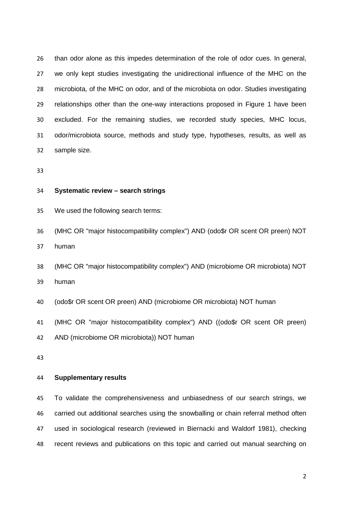than odor alone as this impedes determination of the role of odor cues. In general, we only kept studies investigating the unidirectional influence of the MHC on the microbiota, of the MHC on odor, and of the microbiota on odor. Studies investigating relationships other than the one-way interactions proposed in Figure 1 have been excluded. For the remaining studies, we recorded study species, MHC locus, odor/microbiota source, methods and study type, hypotheses, results, as well as sample size.

#### **Systematic review – search strings**

We used the following search terms:

 (MHC OR "major histocompatibility complex") AND (odo\$r OR scent OR preen) NOT human

 (MHC OR "major histocompatibility complex") AND (microbiome OR microbiota) NOT human

(odo\$r OR scent OR preen) AND (microbiome OR microbiota) NOT human

(MHC OR "major histocompatibility complex") AND ((odo\$r OR scent OR preen)

AND (microbiome OR microbiota)) NOT human

#### **Supplementary results**

 To validate the comprehensiveness and unbiasedness of our search strings, we carried out additional searches using the snowballing or chain referral method often used in sociological research (reviewed in Biernacki and Waldorf 1981), checking recent reviews and publications on this topic and carried out manual searching on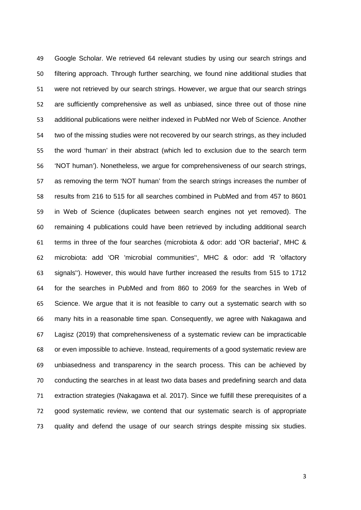Google Scholar. We retrieved 64 relevant studies by using our search strings and filtering approach. Through further searching, we found nine additional studies that were not retrieved by our search strings. However, we argue that our search strings are sufficiently comprehensive as well as unbiased, since three out of those nine additional publications were neither indexed in PubMed nor Web of Science. Another two of the missing studies were not recovered by our search strings, as they included the word 'human' in their abstract (which led to exclusion due to the search term 'NOT human'). Nonetheless, we argue for comprehensiveness of our search strings, as removing the term 'NOT human' from the search strings increases the number of results from 216 to 515 for all searches combined in PubMed and from 457 to 8601 in Web of Science (duplicates between search engines not yet removed). The remaining 4 publications could have been retrieved by including additional search terms in three of the four searches (microbiota & odor: add 'OR bacterial', MHC & microbiota: add 'OR 'microbial communities'', MHC & odor: add 'R 'olfactory signals''). However, this would have further increased the results from 515 to 1712 for the searches in PubMed and from 860 to 2069 for the searches in Web of Science. We argue that it is not feasible to carry out a systematic search with so many hits in a reasonable time span. Consequently, we agree with Nakagawa and Lagisz (2019) that comprehensiveness of a systematic review can be impracticable or even impossible to achieve. Instead, requirements of a good systematic review are unbiasedness and transparency in the search process. This can be achieved by conducting the searches in at least two data bases and predefining search and data extraction strategies (Nakagawa et al. 2017). Since we fulfill these prerequisites of a good systematic review, we contend that our systematic search is of appropriate quality and defend the usage of our search strings despite missing six studies.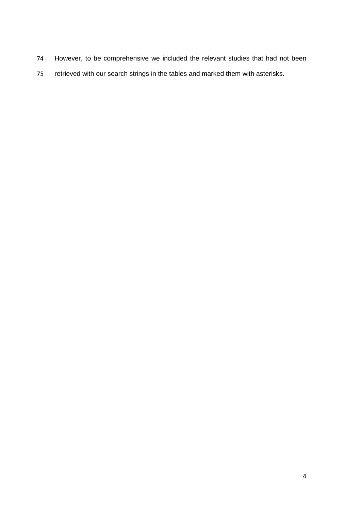- However, to be comprehensive we included the relevant studies that had not been
- retrieved with our search strings in the tables and marked them with asterisks.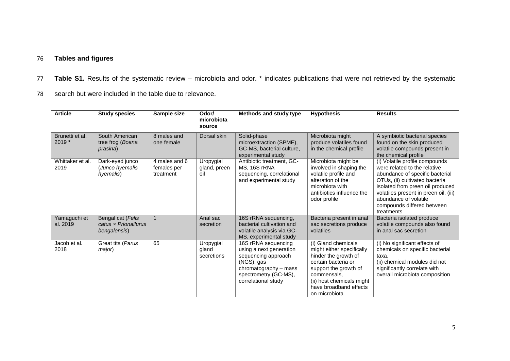# 76 **Tables and figures**

- 77 **Table S1.** Results of the systematic review microbiota and odor. \* indicates publications that were not retrieved by the systematic
- 78 search but were included in the table due to relevance.

| <b>Article</b>             | <b>Study species</b>                                      | Sample size                               | Odor/<br>microbiota<br>source    | Methods and study type                                                                                                                                       | <b>Hypothesis</b>                                                                                                                                                                                               | <b>Results</b>                                                                                                                                                                                                                                                                        |
|----------------------------|-----------------------------------------------------------|-------------------------------------------|----------------------------------|--------------------------------------------------------------------------------------------------------------------------------------------------------------|-----------------------------------------------------------------------------------------------------------------------------------------------------------------------------------------------------------------|---------------------------------------------------------------------------------------------------------------------------------------------------------------------------------------------------------------------------------------------------------------------------------------|
| Brunetti et al.<br>$2019*$ | South American<br>tree frog (Boana<br><i>prasina</i> )    | 8 males and<br>one female                 | Dorsal skin                      | Solid-phase<br>microextraction (SPME),<br>GC-MS, bacterial culture,<br>experimental study                                                                    | Microbiota might<br>produce volatiles found<br>in the chemical profile                                                                                                                                          | A symbiotic bacterial species<br>found on the skin produced<br>volatile compounds present in<br>the chemical profile                                                                                                                                                                  |
| Whittaker et al.<br>2019   | Dark-eyed junco<br>(Junco hyemalis<br>hyemalis)           | 4 males and 6<br>females per<br>treatment | Uropygial<br>gland, preen<br>oil | Antibiotic treatment, GC-<br>MS, 16S rRNA<br>sequencing, correlational<br>and experimental study                                                             | Microbiota might be<br>involved in shaping the<br>volatile profile and<br>alteration of the<br>microbiota with<br>antibiotics influence the<br>odor profile                                                     | (i) Volatile profile compounds<br>were related to the relative<br>abundance of specific bacterial<br>OTUs, (ii) cultivated bacteria<br>isolated from preen oil produced<br>volatiles present in preen oil, (iii)<br>abundance of volatile<br>compounds differed between<br>treatments |
| Yamaguchi et<br>al. 2019   | Bengal cat (Felis<br>catus x Prionailurus<br>bengalensis) | $\overline{1}$                            | Anal sac<br>secretion            | 16S rRNA sequencing,<br>bacterial cultivation and<br>volatile analysis via GC-<br>MS, experimental study                                                     | Bacteria present in anal<br>sac secretions produce<br>volatiles                                                                                                                                                 | Bacteria isolated produce<br>volatile compounds also found<br>in anal sac secretion                                                                                                                                                                                                   |
| Jacob et al.<br>2018       | Great tits (Parus<br>major)                               | 65                                        | Uropygial<br>gland<br>secretions | 16S rRNA sequencing<br>using a next generation<br>sequencing approach<br>(NGS), gas<br>chromatography – mass<br>spectrometry (GC-MS),<br>correlational study | (i) Gland chemicals<br>might either specifically<br>hinder the growth of<br>certain bacteria or<br>support the growth of<br>commensals.<br>(ii) host chemicals might<br>have broadband effects<br>on microbiota | (i) No significant effects of<br>chemicals on specific bacterial<br>taxa,<br>(ii) chemical modules did not<br>significantly correlate with<br>overall microbiota composition                                                                                                          |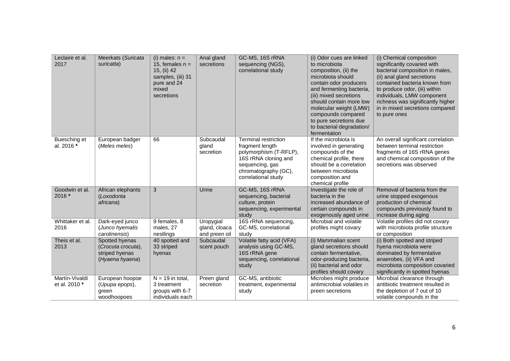| Leclaire et al.<br>2017         | Meerkats (Suricata<br>suricatta)                                          | (i) males: $n =$<br>15, females $n =$<br>15, (ii) 42<br>samples, (iii) 31<br>pure and 24<br>mixed<br>secretions | Anal gland<br>secretions                    | GC-MS, 16S rRNA<br>sequencing (NGS),<br>correlational study                                                                                                        | (i) Odor cues are linked<br>to microbiota<br>composition, (ii) the<br>microbiota should<br>contain odor producers<br>and fermenting bacteria,<br>(iii) mixed secretions<br>should contain more low<br>molecular weight (LMW)<br>compounds compared<br>to pure secretions due<br>to bacterial degradation/<br>fermentation | (i) Chemical composition<br>significantly covaried with<br>bacterial composition in males,<br>(ii) anal gland secretions<br>contained bacteria known from<br>to produce odor, (iii) within<br>individuals, LMW component<br>richness was significantly higher<br>in in mixed secretions compared<br>to pure ones |
|---------------------------------|---------------------------------------------------------------------------|-----------------------------------------------------------------------------------------------------------------|---------------------------------------------|--------------------------------------------------------------------------------------------------------------------------------------------------------------------|---------------------------------------------------------------------------------------------------------------------------------------------------------------------------------------------------------------------------------------------------------------------------------------------------------------------------|------------------------------------------------------------------------------------------------------------------------------------------------------------------------------------------------------------------------------------------------------------------------------------------------------------------|
| Buesching et<br>al. 2016 *      | European badger<br>(Meles meles)                                          | 66                                                                                                              | Subcaudal<br>gland<br>secretion             | <b>Terminal restriction</b><br>fragment length<br>polymorphism (T-RFLP),<br>16S rRNA cloning and<br>sequencing, gas<br>chromatography (GC),<br>correlational study | If the microbiota is<br>involved in generating<br>compounds of the<br>chemical profile, there<br>should be a correlation<br>between microbiota<br>composition and<br>chemical profile                                                                                                                                     | An overall significant correlation<br>between terminal restriction<br>fragments of 16S rRNA genes<br>and chemical composition of the<br>secretions was observed                                                                                                                                                  |
| Goodwin et al.<br>$2016*$       | African elephants<br>(Loxodonta<br>africana)                              | 3                                                                                                               | Urine                                       | GC-MS, 16S rRNA<br>sequencing, bacterial<br>culture, protein<br>sequencing, experimental<br>study                                                                  | Investigate the role of<br>bacteria in the<br>increased abundance of<br>certain compounds in<br>exogenously aged urine                                                                                                                                                                                                    | Removal of bacteria from the<br>urine stopped exogenous<br>production of chemical<br>compounds previously found to<br>increase during aging                                                                                                                                                                      |
| Whittaker et al.<br>2016        | Dark-eyed junco<br>(Junco hyemalis<br>carolinensis)                       | 9 females, 8<br>males, 27<br>nestlings                                                                          | Uropygial<br>gland, cloaca<br>and preen oil | 16S rRNA sequencing,<br>GC-MS, correlational<br>study                                                                                                              | Microbial and volatile<br>profiles might covary                                                                                                                                                                                                                                                                           | Volatile profiles did not covary<br>with microbiota profile structure<br>or composition                                                                                                                                                                                                                          |
| Theis et al.<br>2013            | Spotted hyenas<br>(Crocuta crocuta),<br>striped hyenas<br>(Hyaena hyaena) | 40 spotted and<br>33 striped<br>hyenas                                                                          | Subcaudal<br>scent pouch                    | Volatile fatty acid (VFA)<br>analysis using GC-MS,<br>16S rRNA gene<br>sequencing, correlational<br>study                                                          | (i) Mammalian scent<br>gland secretions should<br>contain fermentative,<br>odor-producing bacteria,<br>(ii) bacterial and odor<br>profiles should covary                                                                                                                                                                  | (i) Both spotted and striped<br>hyena microbiota were<br>dominated by fermentative<br>anaerobes, (ii) VFA and<br>microbiota composition covaried<br>significantly in spotted hyenas                                                                                                                              |
| Martín-Vivaldi<br>et al. 2010 * | European hoopoe<br>(Upupa epops),<br>green<br>woodhoopoes                 | $N = 19$ in total,<br>3 treatment<br>groups with 6-7<br>individuals each                                        | Preen gland<br>secretion                    | GC-MS, antibiotic<br>treatment, experimental<br>study                                                                                                              | Microbes might produce<br>antimicrobial volatiles in<br>preen secretions                                                                                                                                                                                                                                                  | Microbial clearance through<br>antibiotic treatment resulted in<br>the depletion of 7 out of 10<br>volatile compounds in the                                                                                                                                                                                     |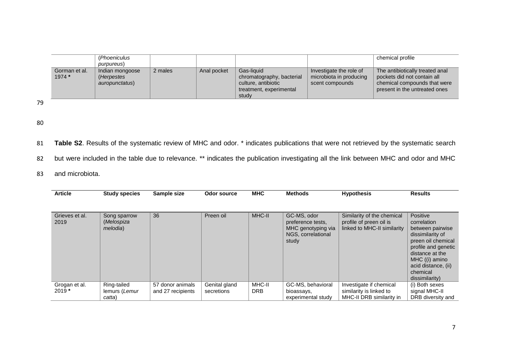|                         | (Phoeniculus)<br>purpureus)                     |         |             |                                                                                                    |                                                                       | chemical profile                                                                                                                |
|-------------------------|-------------------------------------------------|---------|-------------|----------------------------------------------------------------------------------------------------|-----------------------------------------------------------------------|---------------------------------------------------------------------------------------------------------------------------------|
| Gorman et al.<br>1974 * | Indian mongoose<br>(Herpestes<br>auropunctatus) | 2 males | Anal pocket | Gas-liquid<br>chromatography, bacterial<br>culture, antibiotic<br>treatment, experimental<br>study | Investigate the role of<br>microbiota in producing<br>scent compounds | The antibiotically treated anal<br>pockets did not contain all<br>chemical compounds that were<br>present in the untreated ones |

- 81 **Table S2**. Results of the systematic review of MHC and odor. \* indicates publications that were not retrieved by the systematic search
- 82 but were included in the table due to relevance. \*\* indicates the publication investigating all the link between MHC and odor and MHC
- 83 and microbiota.

| <b>Article</b>         | <b>Study species</b>                           | Sample size       | Odor source   | <b>MHC</b> | <b>Methods</b>                                                                        | <b>Hypothesis</b>                                                                    | <b>Results</b>                                                                                                                                                                                         |
|------------------------|------------------------------------------------|-------------------|---------------|------------|---------------------------------------------------------------------------------------|--------------------------------------------------------------------------------------|--------------------------------------------------------------------------------------------------------------------------------------------------------------------------------------------------------|
|                        |                                                |                   |               |            |                                                                                       |                                                                                      |                                                                                                                                                                                                        |
| Grieves et al.<br>2019 | Song sparrow<br>(Melospiza<br><i>melodia</i> ) | 36                | Preen oil     | MHC-II     | GC-MS, odor<br>preference tests,<br>MHC genotyping via<br>NGS, correlational<br>study | Similarity of the chemical<br>profile of preen oil is<br>linked to MHC-II similarity | Positive<br>correlation<br>between pairwise<br>dissimilarity of<br>preen oil chemical<br>profile and genetic<br>distance at the<br>MHC ((i) amino<br>acid distance, (ii)<br>chemical<br>dissimilarity) |
| Grogan et al.          | Ring-tailed                                    | 57 donor animals  | Genital gland | MHC-II     | GC-MS, behavioral                                                                     | Investigate if chemical                                                              | (i) Both sexes                                                                                                                                                                                         |
| $2019*$                | lemurs (Lemur                                  | and 27 recipients | secretions    | <b>DRB</b> | bioassays,                                                                            | similarity is linked to                                                              | signal MHC-II                                                                                                                                                                                          |
|                        | catta)                                         |                   |               |            | experimental study                                                                    | MHC-II DRB similarity in                                                             | DRB diversity and                                                                                                                                                                                      |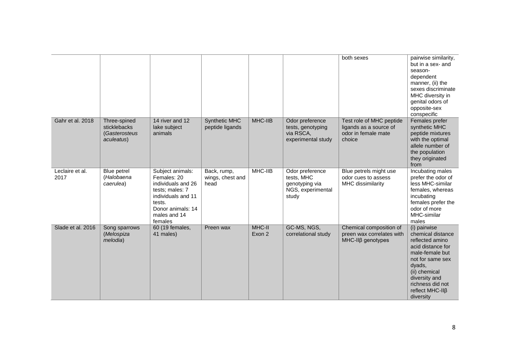|                         |                                                             |                                                                                                                                                          |                                         |                  |                                                                               | both sexes                                                                          | pairwise similarity,<br>but in a sex- and<br>season-<br>dependent<br>manner, (ii) the<br>sexes discriminate<br>MHC diversity in<br>genital odors of<br>opposite-sex<br>conspecific                               |
|-------------------------|-------------------------------------------------------------|----------------------------------------------------------------------------------------------------------------------------------------------------------|-----------------------------------------|------------------|-------------------------------------------------------------------------------|-------------------------------------------------------------------------------------|------------------------------------------------------------------------------------------------------------------------------------------------------------------------------------------------------------------|
| Gahr et al. 2018        | Three-spined<br>sticklebacks<br>(Gasterosteus<br>aculeatus) | 14 river and 12<br>lake subject<br>animals                                                                                                               | <b>Synthetic MHC</b><br>peptide ligands | MHC-IIB          | Odor preference<br>tests, genotyping<br>via RSCA,<br>experimental study       | Test role of MHC peptide<br>ligands as a source of<br>odor in female mate<br>choice | Females prefer<br>synthetic MHC<br>peptide mixtures<br>with the optimal<br>allele number of<br>the population<br>they originated<br>from                                                                         |
| Leclaire et al.<br>2017 | Blue petrel<br>(Halobaena<br>caerulea)                      | Subject animals:<br>Females: 20<br>individuals and 26<br>tests; males: 7<br>individuals and 11<br>tests.<br>Donor animals: 14<br>males and 14<br>females | Back, rump,<br>wings, chest and<br>head | MHC-IIB          | Odor preference<br>tests, MHC<br>genotyping via<br>NGS, experimental<br>study | Blue petrels might use<br>odor cues to assess<br>MHC dissimilarity                  | Incubating males<br>prefer the odor of<br>less MHC-similar<br>females, whereas<br>incubating<br>females prefer the<br>odor of more<br>MHC-similar<br>males                                                       |
| Slade et al. 2016       | Song sparrows<br>(Melospiza<br>melodia)                     | 60 (19 females,<br>41 males)                                                                                                                             | Preen wax                               | MHC-II<br>Exon 2 | GC-MS, NGS,<br>correlational study                                            | Chemical composition of<br>preen wax correlates with<br>$MHC-IIB$ genotypes         | (i) pairwise<br>chemical distance<br>reflected amino<br>acid distance for<br>male-female but<br>not for same sex<br>dyads,<br>(ii) chemical<br>diversity and<br>richness did not<br>reflect MHC-IIß<br>diversity |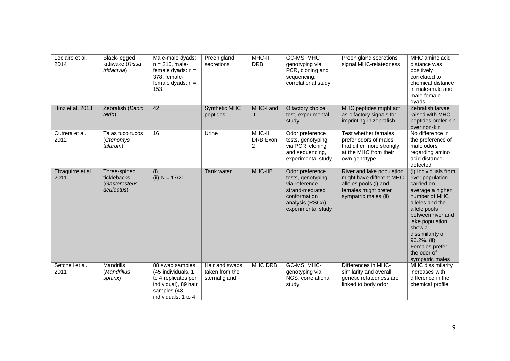| Leclaire et al.<br>2014   | Black-legged<br>kittiwake (Rissa<br>tridactyla)            | Male-male dyads:<br>$n = 210$ , male-<br>female dyads: $n =$<br>378, female-<br>female dyads: $n =$<br>153                  | Preen gland<br>secretions                         | MHC-II<br><b>DRB</b>    | GC-MS, MHC<br>genotyping via<br>PCR, cloning and<br>sequencing,<br>correlational study                                             | Preen gland secretions<br>signal MHC-relatedness                                                                               | MHC amino acid<br>distance was<br>positively<br>correlated to<br>chemical distance<br>in male-male and<br>male-female<br>dyads                                                                                                                                          |
|---------------------------|------------------------------------------------------------|-----------------------------------------------------------------------------------------------------------------------------|---------------------------------------------------|-------------------------|------------------------------------------------------------------------------------------------------------------------------------|--------------------------------------------------------------------------------------------------------------------------------|-------------------------------------------------------------------------------------------------------------------------------------------------------------------------------------------------------------------------------------------------------------------------|
| Hinz et al. 2013          | Zebrafish (Danio<br>rerio)                                 | 42                                                                                                                          | <b>Synthetic MHC</b><br>peptides                  | MHC-I and<br>$-11$      | Olfactory choice<br>test, experimental<br>study                                                                                    | MHC peptides might act<br>as olfactory signals for<br>imprinting in zebrafish                                                  | Zebrafish larvae<br>raised with MHC<br>peptides prefer kin<br>over non-kin                                                                                                                                                                                              |
| Cutrera et al.<br>2012    | Talas tuco tucos<br>(Ctenomys<br>talarum)                  | 16                                                                                                                          | Urine                                             | MHC-II<br>DRB Exon<br>2 | Odor preference<br>tests, genotyping<br>via PCR, cloning<br>and sequencing,<br>experimental study                                  | Test whether females<br>prefer odors of males<br>that differ more strongly<br>at the MHC from their<br>own genotype            | No difference in<br>the preference of<br>male odors<br>regarding amino<br>acid distance<br>detected                                                                                                                                                                     |
| Eizaguirre et al.<br>2011 | Three-spined<br>ticklebacks<br>(Gasterosteus<br>aculeatus) | (i),<br>(ii) $N = 17/20$                                                                                                    | Tank water                                        | MHC-IIB                 | Odor preference<br>tests, genotyping<br>via reference<br>strand-mediated<br>conformation<br>analysis (RSCA),<br>experimental study | River and lake population<br>might have different MHC<br>alleles pools (i) and<br>females might prefer<br>sympatric males (ii) | (i) Individuals from<br>river population<br>carried on<br>average a higher<br>number of MHC<br>alleles and the<br>allele pools<br>between river and<br>lake population<br>show a<br>dissimilarity of<br>96.2%. (ii)<br>Females prefer<br>the odor of<br>sympatric males |
| Setchell et al.<br>2011   | Mandrills<br>(Mandrillus<br>sphinx)                        | 88 swab samples<br>(45 individuals, 1)<br>to 4 replicates per<br>individual), 89 hair<br>samples (43<br>individuals, 1 to 4 | Hair and swabs<br>taken from the<br>sternal gland | MHC DRB                 | GC-MS, MHC-<br>genotyping via<br>NGS, correlational<br>study                                                                       | Differences in MHC-<br>similarity and overall<br>genetic relatedness are<br>linked to body odor                                | MHC dissimilarity<br>increases with<br>difference in the<br>chemical profile                                                                                                                                                                                            |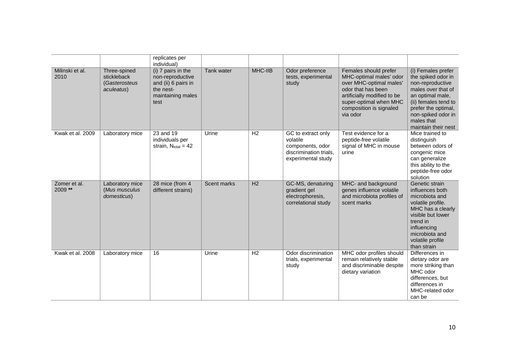|                         |                                                            | replicates per<br>individual)                                                                           |             |         |                                                                                                    |                                                                                                                                                                                                   |                                                                                                                                                                                                                  |
|-------------------------|------------------------------------------------------------|---------------------------------------------------------------------------------------------------------|-------------|---------|----------------------------------------------------------------------------------------------------|---------------------------------------------------------------------------------------------------------------------------------------------------------------------------------------------------|------------------------------------------------------------------------------------------------------------------------------------------------------------------------------------------------------------------|
| Milinski et al.<br>2010 | Three-spined<br>stickleback<br>(Gasterosteus<br>aculeatus) | (i) 7 pairs in the<br>non-reproductive<br>and (ii) 6 pairs in<br>the nest-<br>maintaining males<br>test | Tank water  | MHC-IIB | Odor preference<br>tests, experimental<br>study                                                    | Females should prefer<br>MHC-optimal males' odor<br>over MHC-optimal males'<br>odor that has been<br>artificially modified to be<br>super-optimal when MHC<br>composition is signaled<br>via odor | (i) Females prefer<br>the spiked odor in<br>non-reproductive<br>males over that of<br>an optimal male,<br>(ii) females tend to<br>prefer the optimal,<br>non-spiked odor in<br>males that<br>maintain their nest |
| Kwak et al. 2009        | Laboratory mice                                            | 23 and 19<br>individuals per<br>strain, $N_{total} = 42$                                                | Urine       | H2      | GC to extract only<br>volatile<br>components, odor<br>discrimination trials,<br>experimental study | Test evidence for a<br>peptide-free volatile<br>signal of MHC in mouse<br>urine                                                                                                                   | Mice trained to<br>distinguish<br>between odors of<br>congenic mice<br>can generalize<br>this ability to the<br>peptide-free odor<br>solution                                                                    |
| Zomer et al.<br>2009 ** | Laboratory mice<br>(Mus musculus<br>domesticus)            | 28 mice (from 4<br>different strains)                                                                   | Scent marks | H2      | GC-MS, denaturing<br>gradient gel<br>electrophoresis,<br>correlational study                       | MHC- and background<br>genes influence volatile<br>and microbiota profiles of<br>scent marks                                                                                                      | Genetic strain<br>influences both<br>microbiota and<br>volatile profile.<br>MHC has a clearly<br>visible but lower<br>trend in<br>influencing<br>microbiota and<br>volatile profile<br>than strain               |
| Kwak et al. 2008        | Laboratory mice                                            | 16                                                                                                      | Urine       | H2      | Odor discrimination<br>trials, experimental<br>study                                               | MHC odor profiles should<br>remain relatively stable<br>and discriminable despite<br>dietary variation                                                                                            | Differences in<br>dietary odor are<br>more striking than<br>MHC odor<br>differences, but<br>differences in<br>MHC-related odor<br>can be                                                                         |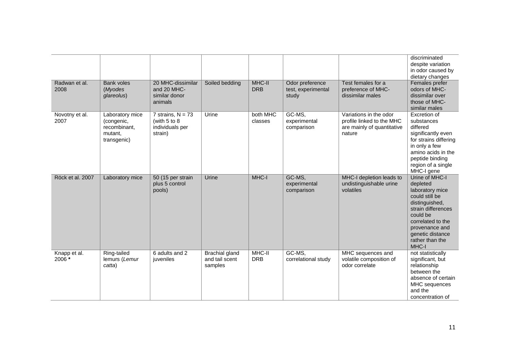| Radwan et al.<br>2008  | <b>Bank voles</b><br>(Myodes<br>glareolus)                              | 20 MHC-dissimilar<br>and 20 MHC-<br>similar donor<br>animals      | Soiled bedding                                     | MHC-II<br><b>DRB</b> | Odor preference<br>test, experimental<br>study | Test females for a<br>preference of MHC-<br>dissimilar males                                | discriminated<br>despite variation<br>in odor caused by<br>dietary changes<br>Females prefer<br>odors of MHC-<br>dissimilar over<br>those of MHC-<br>similar males                                         |
|------------------------|-------------------------------------------------------------------------|-------------------------------------------------------------------|----------------------------------------------------|----------------------|------------------------------------------------|---------------------------------------------------------------------------------------------|------------------------------------------------------------------------------------------------------------------------------------------------------------------------------------------------------------|
| Novotny et al.<br>2007 | Laboratory mice<br>(congenic,<br>recombinant.<br>mutant,<br>transgenic) | 7 strains, $N = 73$<br>(with 5 to 8<br>individuals per<br>strain) | Urine                                              | both MHC<br>classes  | GC-MS,<br>experimental<br>comparison           | Variations in the odor<br>profile linked to the MHC<br>are mainly of quantitative<br>nature | Excretion of<br>substances<br>differed<br>significantly even<br>for strains differing<br>in only a few<br>amino acids in the<br>peptide binding<br>region of a single<br>MHC-I gene                        |
| Röck et al. 2007       | Laboratory mice                                                         | 50 (15 per strain<br>plus 5 control<br>pools)                     | Urine                                              | MHC-I                | GC-MS,<br>experimental<br>comparison           | MHC-I depletion leads to<br>undistinguishable urine<br>volatiles                            | Urine of MHC-I<br>depleted<br>laboratory mice<br>could still be<br>distinguished,<br>strain differences<br>could be<br>correlated to the<br>provenance and<br>genetic distance<br>rather than the<br>MHC-I |
| Knapp et al.<br>2006 * | Ring-tailed<br>lemurs (Lemur<br>catta)                                  | 6 adults and 2<br>juveniles                                       | <b>Brachial gland</b><br>and tail scent<br>samples | MHC-II<br><b>DRB</b> | GC-MS.<br>correlational study                  | MHC sequences and<br>volatile composition of<br>odor correlate                              | not statistically<br>significant, but<br>relationship<br>between the<br>absence of certain<br>MHC sequences<br>and the<br>concentration of                                                                 |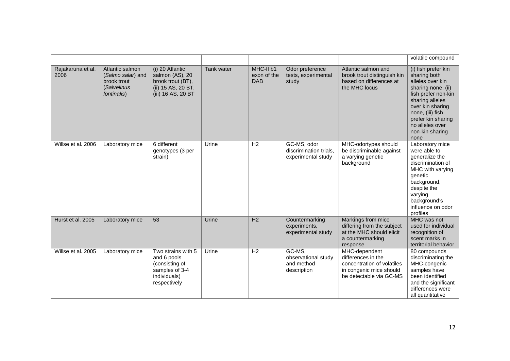|                           |                                                                                   |                                                                                                       |            |                                        |                                                             |                                                                                                                         | volatile compound                                                                                                                                                                                                                   |
|---------------------------|-----------------------------------------------------------------------------------|-------------------------------------------------------------------------------------------------------|------------|----------------------------------------|-------------------------------------------------------------|-------------------------------------------------------------------------------------------------------------------------|-------------------------------------------------------------------------------------------------------------------------------------------------------------------------------------------------------------------------------------|
| Rajakaruna et al.<br>2006 | Atlantic salmon<br>(Salmo salar) and<br>brook trout<br>(Salvelinus<br>fontinalis) | (i) 20 Atlantic<br>salmon (AS), 20<br>brook trout (BT),<br>(ii) 15 AS, 20 BT,<br>(iii) 16 AS, 20 BT   | Tank water | MHC-II b1<br>exon of the<br><b>DAB</b> | Odor preference<br>tests, experimental<br>study             | Atlantic salmon and<br>brook trout distinguish kin<br>based on differences at<br>the MHC locus                          | (i) fish prefer kin<br>sharing both<br>alleles over kin<br>sharing none, (ii)<br>fish prefer non-kin<br>sharing alleles<br>over kin sharing<br>none, (iii) fish<br>prefer kin sharing<br>no alleles over<br>non-kin sharing<br>none |
| Willse et al. 2006        | Laboratory mice                                                                   | 6 different<br>genotypes (3 per<br>strain)                                                            | Urine      | H <sub>2</sub>                         | GC-MS, odor<br>discrimination trials.<br>experimental study | MHC-odortypes should<br>be discriminable against<br>a varying genetic<br>background                                     | Laboratory mice<br>were able to<br>generalize the<br>discrimination of<br>MHC with varying<br>genetic<br>background,<br>despite the<br>varying<br>background's<br>influence on odor<br>profiles                                     |
| Hurst et al. 2005         | Laboratory mice                                                                   | $\overline{53}$                                                                                       | Urine      | H2                                     | Countermarking<br>experiments,<br>experimental study        | Markings from mice<br>differing from the subject<br>at the MHC should elicit<br>a countermarking<br>response            | MHC was not<br>used for individual<br>recognition of<br>scent marks in<br>territorial behavior                                                                                                                                      |
| Willse et al. 2005        | Laboratory mice                                                                   | Two strains with 5<br>and 6 pools<br>(consisting of<br>samples of 3-4<br>individuals)<br>respectively | Urine      | H <sub>2</sub>                         | GC-MS,<br>observational study<br>and method<br>description  | MHC-dependent<br>differences in the<br>concentration of volatiles<br>in congenic mice should<br>be detectable via GC-MS | 80 compounds<br>discriminating the<br>MHC-congenic<br>samples have<br>been identified<br>and the significant<br>differences were<br>all quantitative                                                                                |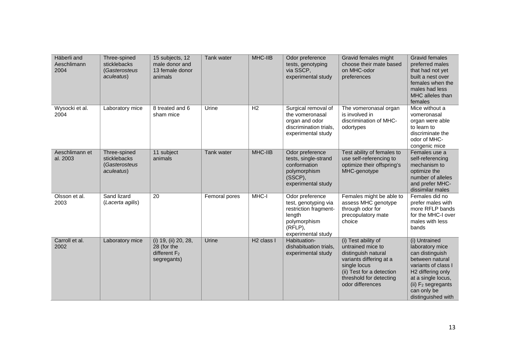| Häberli and<br>Aeschlimann<br>2004 | Three-spined<br>sticklebacks<br>(Gasterosteus<br>aculeatus) | 15 subjects, 12<br>male donor and<br>13 female donor<br>animals      | Tank water    | MHC-IIB                | Odor preference<br>tests, genotyping<br>via SSCP,<br>experimental study                                                        | Gravid females might<br>choose their mate based<br>on MHC-odor<br>preferences                                                                                                          | <b>Gravid females</b><br>preferred males<br>that had not yet<br>built a nest over<br>females when the<br>males had less<br>MHC alleles than<br>females                                                                      |
|------------------------------------|-------------------------------------------------------------|----------------------------------------------------------------------|---------------|------------------------|--------------------------------------------------------------------------------------------------------------------------------|----------------------------------------------------------------------------------------------------------------------------------------------------------------------------------------|-----------------------------------------------------------------------------------------------------------------------------------------------------------------------------------------------------------------------------|
| Wysocki et al.<br>2004             | Laboratory mice                                             | 8 treated and 6<br>sham mice                                         | Urine         | H <sub>2</sub>         | Surgical removal of<br>the vomeronasal<br>organ and odor<br>discrimination trials,<br>experimental study                       | The vomeronasal organ<br>is involved in<br>discrimination of MHC-<br>odortypes                                                                                                         | Mice without a<br>vomeronasal<br>organ were able<br>to learn to<br>discriminate the<br>odor of MHC-<br>congenic mice                                                                                                        |
| Aeschlimann et<br>al. 2003         | Three-spined<br>sticklebacks<br>(Gasterosteus<br>aculeatus) | 11 subject<br>animals                                                | Tank water    | MHC-IIB                | Odor preference<br>tests, single-strand<br>conformation<br>polymorphism<br>(SSCP),<br>experimental study                       | Test ability of females to<br>use self-referencing to<br>optimize their offspring's<br>MHC-genotype                                                                                    | Females use a<br>self-referencing<br>mechanism to<br>optimize the<br>number of alleles<br>and prefer MHC-<br>dissimilar males                                                                                               |
| Olsson et al.<br>2003              | Sand lizard<br>(Lacerta agilis)                             | 20                                                                   | Femoral pores | MHC-I                  | Odor preference<br>test, genotyping via<br>restriction fragment-<br>length<br>polymorphism<br>$(RFLP)$ ,<br>experimental study | Females might be able to<br>assess MHC genotype<br>through odor for<br>precopulatory mate<br>choice                                                                                    | Females did no<br>prefer males with<br>more RFLP bands<br>for the MHC-I over<br>males with less<br>bands                                                                                                                    |
| Carroll et al.<br>2002             | Laboratory mice                                             | (i) 19, (ii) 20, 28,<br>28 (for the<br>different $F2$<br>segregants) | Urine         | H <sub>2</sub> class I | Habituation-<br>dishabituation trials,<br>experimental study                                                                   | (i) Test ability of<br>untrained mice to<br>distinguish natural<br>variants differing at a<br>single locus<br>(ii) Test for a detection<br>threshold for detecting<br>odor differences | (i) Untrained<br>laboratory mice<br>can distinguish<br>between natural<br>variants of class I<br>H <sub>2</sub> differing only<br>at a single locus,<br>(ii) F <sub>2</sub> segregants<br>can only be<br>distinguished with |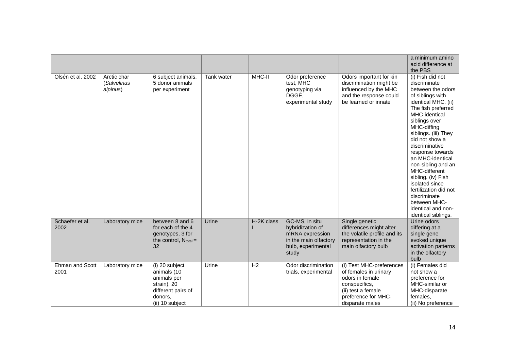|                         |                                        |                                                                                                                 |            |                |                                                                                                               |                                                                                                                                                       | a minimum amino<br>acid difference at<br>the PBS                                                                                                                                                                                                                                                                                                                                                                                                                 |
|-------------------------|----------------------------------------|-----------------------------------------------------------------------------------------------------------------|------------|----------------|---------------------------------------------------------------------------------------------------------------|-------------------------------------------------------------------------------------------------------------------------------------------------------|------------------------------------------------------------------------------------------------------------------------------------------------------------------------------------------------------------------------------------------------------------------------------------------------------------------------------------------------------------------------------------------------------------------------------------------------------------------|
| Olsén et al. 2002       | Arctic char<br>(Salvelinus<br>alpinus) | 6 subject animals,<br>5 donor animals<br>per experiment                                                         | Tank water | MHC-II         | Odor preference<br>test, MHC<br>genotyping via<br>DGGE,<br>experimental study                                 | Odors important for kin<br>discrimination might be<br>influenced by the MHC<br>and the response could<br>be learned or innate                         | (i) Fish did not<br>discriminate<br>between the odors<br>of siblings with<br>identical MHC. (ii)<br>The fish preferred<br>MHC-identical<br>siblings over<br>MHC-diffing<br>siblings. (iii) They<br>did not show a<br>discriminative<br>response towards<br>an MHC-identical<br>non-sibling and an<br>MHC-different<br>sibling. (iv) Fish<br>isolated since<br>fertilization did not<br>discriminate<br>between MHC-<br>identical and non-<br>identical siblings. |
| Schaefer et al.<br>2002 | Laboratory mice                        | between 8 and 6<br>for each of the 4<br>genotypes, 3 for<br>the control, $N_{total} =$<br>32                    | Urine      | H-2K class     | GC-MS, in situ<br>hybridization of<br>mRNA expression<br>in the main olfactory<br>bulb, experimental<br>study | Single genetic<br>differences might alter<br>the volatile profile and its<br>representation in the<br>main olfactory bulb                             | Urine odors<br>differing at a<br>single gene<br>evoked unique<br>activation patterns<br>in the olfactory<br>bulb                                                                                                                                                                                                                                                                                                                                                 |
| Ehman and Scott<br>2001 | Laboratory mice                        | (i) 20 subject<br>animals (10<br>animals per<br>strain), 20<br>different pairs of<br>donors,<br>(ii) 10 subject | Urine      | H <sub>2</sub> | Odor discrimination<br>trials, experimental                                                                   | (i) Test MHC-preferences<br>of females in urinary<br>odors in female<br>conspecifics,<br>(ii) test a female<br>preference for MHC-<br>disparate males | (i) Females did<br>not show a<br>preference for<br>MHC-similar or<br>MHC-disparate<br>females,<br>(ii) No preference                                                                                                                                                                                                                                                                                                                                             |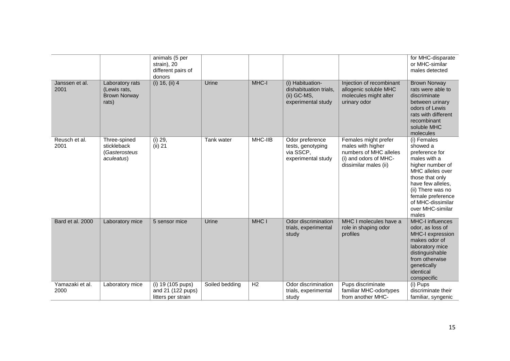|                         |                                                                 | animals (5 per<br>strain), 20<br>different pairs of<br>donors |                |         |                                                                                 |                                                                                                                       | for MHC-disparate<br>or MHC-similar<br>males detected                                                                                                                                                                                 |
|-------------------------|-----------------------------------------------------------------|---------------------------------------------------------------|----------------|---------|---------------------------------------------------------------------------------|-----------------------------------------------------------------------------------------------------------------------|---------------------------------------------------------------------------------------------------------------------------------------------------------------------------------------------------------------------------------------|
| Janssen et al.<br>2001  | Laboratory rats<br>(Lewis rats,<br><b>Brown Norway</b><br>rats) | $(i)$ 16, $(ii)$ 4                                            | Urine          | MHC-I   | (i) Habituation-<br>dishabituation trials,<br>(ii) GC-MS,<br>experimental study | Injection of recombinant<br>allogenic soluble MHC<br>molecules might alter<br>urinary odor                            | <b>Brown Norway</b><br>rats were able to<br>discriminate<br>between urinary<br>odors of Lewis<br>rats with different<br>recombinant<br>soluble MHC<br>molecules                                                                       |
| Reusch et al.<br>2001   | Three-spined<br>stickleback<br>(Gasterosteus<br>aculeatus)      | $(i)$ 29,<br>(ii) 21                                          | Tank water     | MHC-IIB | Odor preference<br>tests, genotyping<br>via SSCP,<br>experimental study         | Females might prefer<br>males with higher<br>numbers of MHC alleles<br>(i) and odors of MHC-<br>dissimilar males (ii) | (i) Females<br>showed a<br>preference for<br>males with a<br>higher number of<br>MHC alleles over<br>those that only<br>have few alleles,<br>(ii) There was no<br>female preference<br>of MHC-dissimilar<br>over MHC-similar<br>males |
| Bard et al. 2000        | Laboratory mice                                                 | 5 sensor mice                                                 | Urine          | MHC I   | Odor discrimination<br>trials, experimental<br>study                            | MHC I molecules have a<br>role in shaping odor<br>profiles                                                            | <b>MHC-I influences</b><br>odor, as loss of<br>MHC-I expression<br>makes odor of<br>laboratory mice<br>distinguishable<br>from otherwise<br>genetically<br>identical<br>conspecific                                                   |
| Yamazaki et al.<br>2000 | Laboratory mice                                                 | (i) 19 (105 pups)<br>and 21 (122 pups)<br>litters per strain  | Soiled bedding | H2      | Odor discrimination<br>trials, experimental<br>study                            | Pups discriminate<br>familiar MHC-odortypes<br>from another MHC-                                                      | (i) Pups<br>discriminate their<br>familiar, syngenic                                                                                                                                                                                  |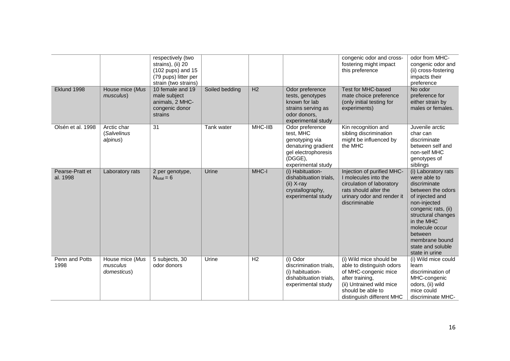|                             |                                            | respectively (two<br>strains), (ii) 20<br>$(102 \text{ pups})$ and 15<br>(79 pups) litter per<br>strain (two strains) |                |                |                                                                                                                               | congenic odor and cross-<br>fostering might impact<br>this preference                                                                                                         | odor from MHC-<br>congenic odor and<br>(ii) cross-fostering<br>impacts their<br>preference                                                                                                                                                                   |
|-----------------------------|--------------------------------------------|-----------------------------------------------------------------------------------------------------------------------|----------------|----------------|-------------------------------------------------------------------------------------------------------------------------------|-------------------------------------------------------------------------------------------------------------------------------------------------------------------------------|--------------------------------------------------------------------------------------------------------------------------------------------------------------------------------------------------------------------------------------------------------------|
| Eklund 1998                 | House mice (Mus<br>musculus)               | 10 female and 19<br>male subject<br>animals, 2 MHC-<br>congenic donor<br>strains                                      | Soiled bedding | H2             | Odor preference<br>tests, genotypes<br>known for lab<br>strains serving as<br>odor donors,<br>experimental study              | <b>Test for MHC-based</b><br>mate choice preference<br>(only initial testing for<br>experiments)                                                                              | No odor<br>preference for<br>either strain by<br>males or females.                                                                                                                                                                                           |
| Olsén et al. 1998           | Arctic char<br>(Salvelinus<br>alpinus)     | 31                                                                                                                    | Tank water     | MHC-IIB        | Odor preference<br>test, MHC<br>genotyping via<br>denaturing gradient<br>gel electrophoresis<br>(DGGE),<br>experimental study | Kin recognition and<br>sibling discrimination<br>might be influenced by<br>the MHC                                                                                            | Juvenile arctic<br>char can<br>discriminate<br>between self and<br>non-self MHC<br>genotypes of<br>siblings                                                                                                                                                  |
| Pearse-Pratt et<br>al. 1998 | Laboratory rats                            | 2 per genotype,<br>$N_{total} = 6$                                                                                    | Urine          | MHC-I          | (i) Habituation-<br>dishabituation trials,<br>$(ii)$ X-ray<br>crystallography,<br>experimental study                          | Injection of purified MHC-<br>I molecules into the<br>circulation of laboratory<br>rats should alter the<br>urinary odor and render it<br>discriminable                       | (i) Laboratory rats<br>were able to<br>discriminate<br>between the odors<br>of injected and<br>non-injected<br>congenic rats, (ii)<br>structural changes<br>in the MHC<br>molecule occur<br>between<br>membrane bound<br>state and soluble<br>state in urine |
| Penn and Potts<br>1998      | House mice (Mus<br>musculus<br>domesticus) | 5 subjects, 30<br>odor donors                                                                                         | Urine          | H <sub>2</sub> | (i) Odor<br>discrimination trials.<br>(i) habituation-<br>dishabituation trials,<br>experimental study                        | (i) Wild mice should be<br>able to distinguish odors<br>of MHC-congenic mice<br>after training,<br>(ii) Untrained wild mice<br>should be able to<br>distinguish different MHC | (i) Wild mice could<br>learn<br>discrimination of<br>MHC-congenic<br>odors, (ii) wild<br>mice could<br>discriminate MHC-                                                                                                                                     |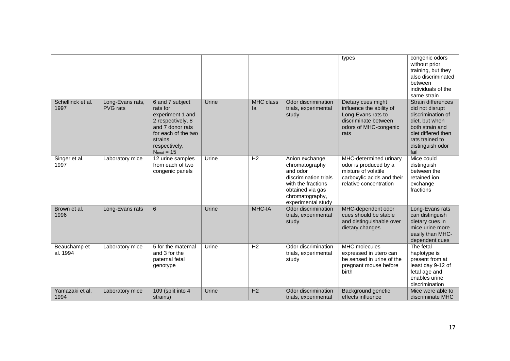|                           |                                     |                                                                                                                                                                 |       |                        |                                                                                                                                                          | types                                                                                                                          | congenic odors<br>without prior<br>training, but they<br>also discriminated<br>between<br>individuals of the<br>same strain                                          |
|---------------------------|-------------------------------------|-----------------------------------------------------------------------------------------------------------------------------------------------------------------|-------|------------------------|----------------------------------------------------------------------------------------------------------------------------------------------------------|--------------------------------------------------------------------------------------------------------------------------------|----------------------------------------------------------------------------------------------------------------------------------------------------------------------|
| Schellinck et al.<br>1997 | Long-Evans rats,<br><b>PVG</b> rats | 6 and 7 subject<br>rats for<br>experiment 1 and<br>2 respectively, 8<br>and 7 donor rats<br>for each of the two<br>strains<br>respectively,<br>$N_{total} = 15$ | Urine | <b>MHC</b> class<br>la | Odor discrimination<br>trials, experimental<br>study                                                                                                     | Dietary cues might<br>influence the ability of<br>Long-Evans rats to<br>discriminate between<br>odors of MHC-congenic<br>rats  | Strain differences<br>did not disrupt<br>discrimination of<br>diet, but when<br>both strain and<br>diet differed then<br>rats trained to<br>distinguish odor<br>fail |
| Singer et al.<br>1997     | Laboratory mice                     | 12 urine samples<br>from each of two<br>congenic panels                                                                                                         | Urine | H <sub>2</sub>         | Anion exchange<br>chromatography<br>and odor<br>discrimination trials<br>with the fractions<br>obtained via gas<br>chromatography,<br>experimental study | MHC-determined urinary<br>odor is produced by a<br>mixture of volatile<br>carboxylic acids and their<br>relative concentration | Mice could<br>distinguish<br>between the<br>retained ion<br>exchange<br>fractions                                                                                    |
| Brown et al.<br>1996      | Long-Evans rats                     | $6\phantom{1}$                                                                                                                                                  | Urine | MHC-IA                 | Odor discrimination<br>trials, experimental<br>study                                                                                                     | MHC-dependent odor<br>cues should be stable<br>and distinguishable over<br>dietary changes                                     | Long-Evans rats<br>can distinguish<br>dietary cues in<br>mice urine more<br>easily than MHC-<br>dependent cues                                                       |
| Beauchamp et<br>al. 1994  | Laboratory mice                     | 5 for the maternal<br>and 3 for the<br>paternal fetal<br>genotype                                                                                               | Urine | H <sub>2</sub>         | Odor discrimination<br>trials, experimental<br>study                                                                                                     | MHC molecules<br>expressed in utero can<br>be sensed in urine of the<br>pregnant mouse before<br>birth                         | The fetal<br>haplotype is<br>present from at<br>least day 9-12 of<br>fetal age and<br>enables urine<br>discrimination                                                |
| Yamazaki et al.<br>1994   | Laboratory mice                     | 109 (split into 4<br>strains)                                                                                                                                   | Urine | H <sub>2</sub>         | Odor discrimination<br>trials, experimental                                                                                                              | Background genetic<br>effects influence                                                                                        | Mice were able to<br>discriminate MHC                                                                                                                                |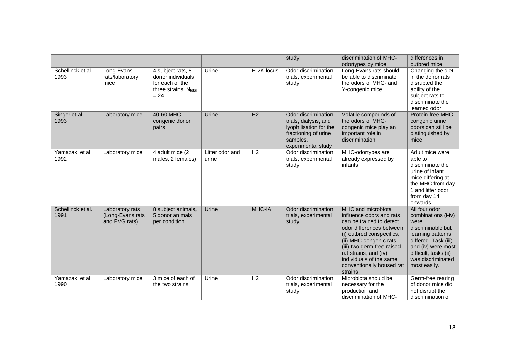|                           |                                                      |                                                                                              |                          |                | study                                                                                                                            | discrimination of MHC-                                                                                                                                                                                                                                                                   | differences in                                                                                                                                                                                     |
|---------------------------|------------------------------------------------------|----------------------------------------------------------------------------------------------|--------------------------|----------------|----------------------------------------------------------------------------------------------------------------------------------|------------------------------------------------------------------------------------------------------------------------------------------------------------------------------------------------------------------------------------------------------------------------------------------|----------------------------------------------------------------------------------------------------------------------------------------------------------------------------------------------------|
|                           |                                                      |                                                                                              |                          |                |                                                                                                                                  | odortypes by mice                                                                                                                                                                                                                                                                        | outbred mice                                                                                                                                                                                       |
| Schellinck et al.<br>1993 | Long-Evans<br>rats/laboratory<br>mice                | 4 subject rats, 8<br>donor individuals<br>for each of the<br>three strains, Ntotal<br>$= 24$ | Urine                    | H-2K locus     | Odor discrimination<br>trials, experimental<br>study                                                                             | Long-Evans rats should<br>be able to discriminate<br>the odors of MHC- and<br>Y-congenic mice                                                                                                                                                                                            | Changing the diet<br>in the donor rats<br>disrupted the<br>ability of the<br>subject rats to<br>discriminate the<br>learned odor                                                                   |
| Singer et al.<br>1993     | Laboratory mice                                      | 40-60 MHC-<br>congenic donor<br>pairs                                                        | Urine                    | H <sub>2</sub> | Odor discrimination<br>trials, dialysis, and<br>lyophilisation for the<br>fractioning of urine<br>samples,<br>experimental study | Volatile compounds of<br>the odors of MHC-<br>congenic mice play an<br>important role in<br>discrimination                                                                                                                                                                               | Protein-free MHC-<br>congenic urine<br>odors can still be<br>distinguished by<br>mice                                                                                                              |
| Yamazaki et al.<br>1992   | Laboratory mice                                      | 4 adult mice (2<br>males, 2 females)                                                         | Litter odor and<br>urine | H <sub>2</sub> | Odor discrimination<br>trials, experimental<br>study                                                                             | MHC-odortypes are<br>already expressed by<br>infants                                                                                                                                                                                                                                     | Adult mice were<br>able to<br>discriminate the<br>urine of infant<br>mice differing at<br>the MHC from day<br>1 and litter odor<br>from day 14<br>onwards                                          |
| Schellinck et al.<br>1991 | Laboratory rats<br>(Long-Evans rats<br>and PVG rats) | 8 subject animals,<br>5 donor animals<br>per condition                                       | Urine                    | MHC-IA         | Odor discrimination<br>trials, experimental<br>study                                                                             | MHC and microbiota<br>influence odors and rats<br>can be trained to detect<br>odor differences between<br>(i) outbred conspecifics,<br>(ii) MHC-congenic rats,<br>(iii) two germ-free raised<br>rat strains, and (iv)<br>individuals of the same<br>conventionally housed rat<br>strains | All four odor<br>combinations (i-iv)<br>were<br>discriminable but<br>learning patterns<br>differed. Task (iii)<br>and (iv) were most<br>difficult, tasks (ii)<br>was discriminated<br>most easily. |
| Yamazaki et al.<br>1990   | Laboratory mice                                      | 3 mice of each of<br>the two strains                                                         | Urine                    | H2             | Odor discrimination<br>trials, experimental<br>study                                                                             | Microbiota should be<br>necessary for the<br>production and<br>discrimination of MHC-                                                                                                                                                                                                    | Germ-free rearing<br>of donor mice did<br>not disrupt the<br>discrimination of                                                                                                                     |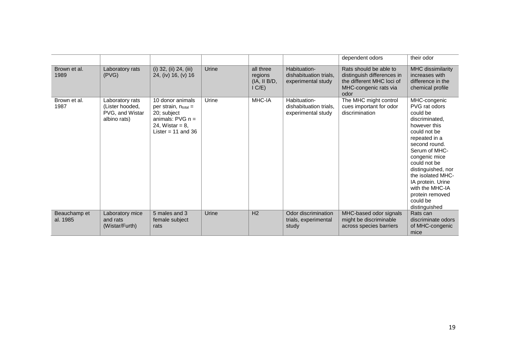|                          |                                                                       |                                                                                                                                  |       |                                                  |                                                              | dependent odors                                                                                                    | their odor                                                                                                                                                                                                                                                                                                         |
|--------------------------|-----------------------------------------------------------------------|----------------------------------------------------------------------------------------------------------------------------------|-------|--------------------------------------------------|--------------------------------------------------------------|--------------------------------------------------------------------------------------------------------------------|--------------------------------------------------------------------------------------------------------------------------------------------------------------------------------------------------------------------------------------------------------------------------------------------------------------------|
| Brown et al.<br>1989     | Laboratory rats<br>(PVG)                                              | (i) 32, (ii) 24, (iii)<br>24, (iv) 16, (v) 16                                                                                    | Urine | all three<br>regions<br>(IA, II B/D, I)<br>IC/E) | Habituation-<br>dishabituation trials,<br>experimental study | Rats should be able to<br>distinguish differences in<br>the different MHC loci of<br>MHC-congenic rats via<br>odor | MHC dissimilarity<br>increases with<br>difference in the<br>chemical profile                                                                                                                                                                                                                                       |
| Brown et al.<br>1987     | Laboratory rats<br>(Lister hooded,<br>PVG, and Wistar<br>albino rats) | 10 donor animals<br>per strain, $n_{total}$ =<br>20; subject<br>animals: $PVG n =$<br>24, Wistar = $8$ ,<br>Lister = $11$ and 36 | Urine | MHC-IA                                           | Habituation-<br>dishabituation trials,<br>experimental study | The MHC might control<br>cues important for odor<br>discrimination                                                 | MHC-congenic<br>PVG rat odors<br>could be<br>discriminated.<br>however this<br>could not be<br>repeated in a<br>second round.<br>Serum of MHC-<br>congenic mice<br>could not be<br>distinguished, nor<br>the isolated MHC-<br>IA protein. Urine<br>with the MHC-IA<br>protein removed<br>could be<br>distinguished |
| Beauchamp et<br>al. 1985 | Laboratory mice<br>and rats<br>(Wistar/Furth)                         | 5 males and 3<br>female subject<br>rats                                                                                          | Urine | H <sub>2</sub>                                   | Odor discrimination<br>trials, experimental<br>study         | MHC-based odor signals<br>might be discriminable<br>across species barriers                                        | Rats can<br>discriminate odors<br>of MHC-congenic<br>mice                                                                                                                                                                                                                                                          |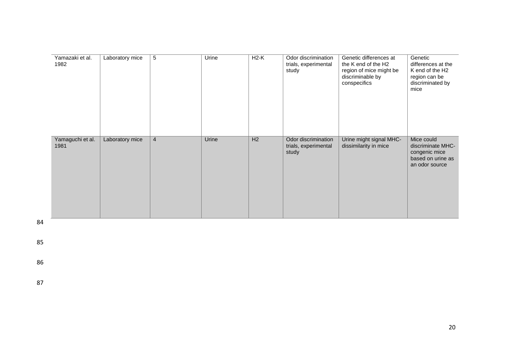| Yamazaki et al.<br>1982  | Laboratory mice | 5              | Urine | $H2-K$ | Odor discrimination<br>trials, experimental<br>study | Genetic differences at<br>the K end of the H2<br>region of mice might be<br>discriminable by<br>conspecifics | Genetic<br>differences at the<br>K end of the H <sub>2</sub><br>region can be<br>discriminated by<br>mice |
|--------------------------|-----------------|----------------|-------|--------|------------------------------------------------------|--------------------------------------------------------------------------------------------------------------|-----------------------------------------------------------------------------------------------------------|
| Yamaguchi et al.<br>1981 | Laboratory mice | $\overline{4}$ | Urine | H2     | Odor discrimination<br>trials, experimental<br>study | Urine might signal MHC-<br>dissimilarity in mice                                                             | Mice could<br>discriminate MHC-<br>congenic mice<br>based on urine as<br>an odor source                   |

85

86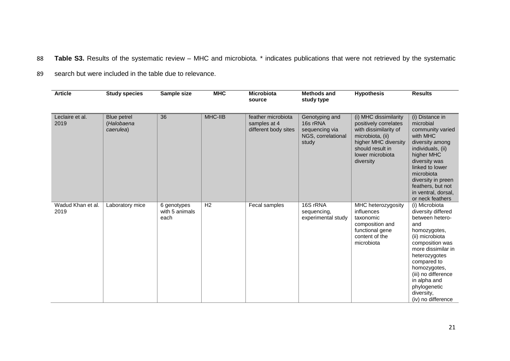88 **Table S3.** Results of the systematic review – MHC and microbiota. \* indicates publications that were not retrieved by the systematic

89 search but were included in the table due to relevance.

| <b>Article</b>            | <b>Study species</b>                   | Sample size                           | <b>MHC</b>     | <b>Microbiota</b><br>source                                | <b>Methods and</b><br>study type                                            | <b>Hypothesis</b>                                                                                                                                                        | <b>Results</b>                                                                                                                                                                                                                                                                        |
|---------------------------|----------------------------------------|---------------------------------------|----------------|------------------------------------------------------------|-----------------------------------------------------------------------------|--------------------------------------------------------------------------------------------------------------------------------------------------------------------------|---------------------------------------------------------------------------------------------------------------------------------------------------------------------------------------------------------------------------------------------------------------------------------------|
| Leclaire et al.<br>2019   | Blue petrel<br>(Halobaena<br>caerulea) | 36                                    | MHC-IIB        | feather microbiota<br>samples at 4<br>different body sites | Genotyping and<br>16s rRNA<br>sequencing via<br>NGS, correlational<br>study | (i) MHC dissimilarity<br>positively correlates<br>with dissimilarity of<br>microbiota, (ii)<br>higher MHC diversity<br>should result in<br>lower microbiota<br>diversity | (i) Distance in<br>microbial<br>community varied<br>with MHC<br>diversity among<br>individuals, (ii)<br>higher MHC<br>diversity was<br>linked to lower<br>microbiota<br>diversity in preen<br>feathers, but not<br>in ventral, dorsal,<br>or neck feathers                            |
| Wadud Khan et al.<br>2019 | Laboratory mice                        | 6 genotypes<br>with 5 animals<br>each | H <sub>2</sub> | Fecal samples                                              | 16S rRNA<br>sequencing,<br>experimental study                               | MHC heterozygosity<br>influences<br>taxonomic<br>composition and<br>functional gene<br>content of the<br>microbiota                                                      | (i) Microbiota<br>diversity differed<br>between hetero-<br>and<br>homozygotes,<br>(ii) microbiota<br>composition was<br>more dissimilar in<br>heterozygotes<br>compared to<br>homozygotes,<br>(iii) no difference<br>in alpha and<br>phylogenetic<br>diversity,<br>(iv) no difference |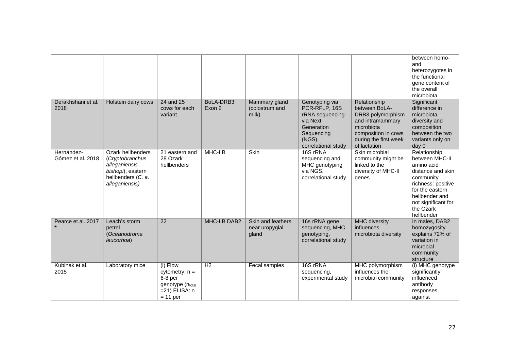|                                 |                                                                                                                    |                                                                                               |                     |                                              |                                                                                                                             |                                                                                                                                                      | between homo-<br>and<br>heterozygotes in<br>the functional<br>gene content of<br>the overall<br>microbiota                                                                                  |
|---------------------------------|--------------------------------------------------------------------------------------------------------------------|-----------------------------------------------------------------------------------------------|---------------------|----------------------------------------------|-----------------------------------------------------------------------------------------------------------------------------|------------------------------------------------------------------------------------------------------------------------------------------------------|---------------------------------------------------------------------------------------------------------------------------------------------------------------------------------------------|
| Derakhshani et al.<br>2018      | Holstein dairy cows                                                                                                | 24 and 25<br>cows for each<br>variant                                                         | BoLA-DRB3<br>Exon 2 | Mammary gland<br>(colostrum and<br>milk)     | Genotyping via<br>PCR-RFLP, 16S<br>rRNA sequencing<br>via Next<br>Generation<br>Sequencing<br>(NGS),<br>correlational study | Relationship<br>between BoLA-<br>DRB3 polymorphism<br>and intramammary<br>microbiota<br>composition in cows<br>during the first week<br>of lactation | Significant<br>difference in<br>microbiota<br>diversity and<br>composition<br>between the two<br>variants only on<br>day 0                                                                  |
| Hernández-<br>Gómez et al. 2018 | Ozark hellbenders<br>(Cryptobranchus<br>alleganiensis<br>bishopi), eastern<br>hellbenders (C. a.<br>alleganiensis) | 21 eastern and<br>28 Ozark<br>hellbenders                                                     | MHC-IIB             | Skin                                         | 16S rRNA<br>sequencing and<br>MHC genotyping<br>via NGS,<br>correlational study                                             | Skin microbial<br>community might be<br>linked to the<br>diversity of MHC-II<br>genes                                                                | Relationship<br>between MHC-II<br>amino acid<br>distance and skin<br>community<br>richness: positive<br>for the eastern<br>hellbender and<br>not significant for<br>the Ozark<br>hellbender |
| Pearce et al. 2017              | Leach's storm<br>petrel<br>(Oceanodroma<br>leucorhoa)                                                              | $\overline{22}$                                                                               | MHC-IIB DAB2        | Skin and feathers<br>near uropygial<br>gland | 16s rRNA gene<br>sequencing, MHC<br>genotyping,<br>correlational study                                                      | <b>MHC</b> diversity<br>influences<br>microbiota diversity                                                                                           | In males, DAB2<br>homozygosity<br>explains 72% of<br>variation in<br>microbial<br>community<br>structure                                                                                    |
| Kubinak et al.<br>2015          | Laboratory mice                                                                                                    | (i) Flow<br>cytometry: $n =$<br>6-8 per<br>genotype (ntotal<br>$=21$ ) ELISA: n<br>$= 11$ per | H <sub>2</sub>      | Fecal samples                                | 16S rRNA<br>sequencing,<br>experimental study                                                                               | MHC polymorphism<br>influences the<br>microbial community                                                                                            | (i) MHC genotype<br>significantly<br>influenced<br>antibody<br>responses<br>against                                                                                                         |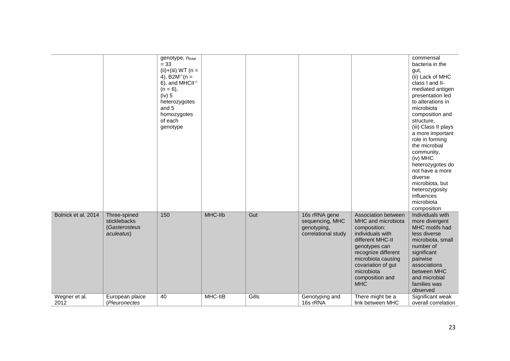|                       |                                                             | genotype, ntotal<br>$= 33$<br>(ii)+(iii) $WT (n =$<br>4), B2M <sup>-/-</sup> $(n =$<br>6), and MHCII $\cdot$<br>$(n = 6)$ ,<br>(iv) 5<br>heterozygotes<br>and 5<br>homozygotes<br>of each<br>genotype |         |       |                                                                        |                                                                                                                                                                                                                                      | commensal<br>bacteria in the<br>gut,<br>(ii) Lack of MHC<br>class I and II-<br>mediated antigen<br>presentation led<br>to alterations in<br>microbiota<br>composition and<br>structure,<br>(iii) Class II plays<br>a more important<br>role in forming<br>the microbial<br>community,<br>(iv) MHC<br>heterozygotes do<br>not have a more<br>diverse<br>microbiota, but<br>heterozygosity<br>influences<br>microbiota<br>composition |
|-----------------------|-------------------------------------------------------------|-------------------------------------------------------------------------------------------------------------------------------------------------------------------------------------------------------|---------|-------|------------------------------------------------------------------------|--------------------------------------------------------------------------------------------------------------------------------------------------------------------------------------------------------------------------------------|-------------------------------------------------------------------------------------------------------------------------------------------------------------------------------------------------------------------------------------------------------------------------------------------------------------------------------------------------------------------------------------------------------------------------------------|
| Bolnick et al. 2014   | Three-spined<br>sticklebacks<br>(Gasterosteus<br>aculeatus) | 150                                                                                                                                                                                                   | MHC-IIb | Gut   | 16s rRNA gene<br>sequencing, MHC<br>genotyping,<br>correlational study | Association between<br>MHC and microbiota<br>composition:<br>individuals with<br>different MHC-II<br>genotypes can<br>recognize different<br>microbiota causing<br>covariation of gut<br>microbiota<br>composition and<br><b>MHC</b> | Individuals with<br>more divergent<br>MHC motifs had<br>less diverse<br>microbiota, small<br>number of<br>significant<br>pairwise<br>associations<br>between MHC<br>and microbial<br>families was<br>observed                                                                                                                                                                                                                       |
| Wegner et al.<br>2012 | European plaice<br>(Pleuronectes                            | 40                                                                                                                                                                                                    | MHC-IIB | Gills | Genotyping and<br>16s rRNA                                             | There might be a<br>link between MHC                                                                                                                                                                                                 | Significant weak<br>overall correlation                                                                                                                                                                                                                                                                                                                                                                                             |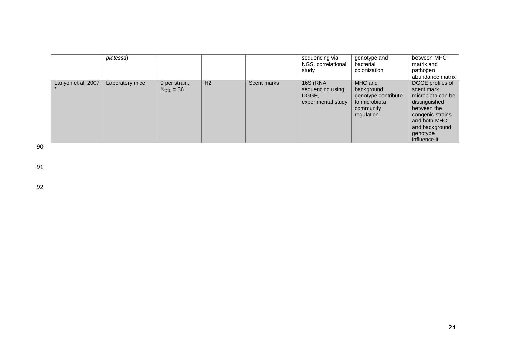|                    | platessa)       |                                   |                |             | sequencing via<br>NGS, correlational<br>study               | genotype and<br>bacterial<br>colonization                                                | between MHC<br>matrix and<br>pathogen<br>abundance matrix                                                                                                             |
|--------------------|-----------------|-----------------------------------|----------------|-------------|-------------------------------------------------------------|------------------------------------------------------------------------------------------|-----------------------------------------------------------------------------------------------------------------------------------------------------------------------|
| Lanyon et al. 2007 | Laboratory mice | 9 per strain,<br>$N_{total} = 36$ | H <sub>2</sub> | Scent marks | 16S rRNA<br>sequencing using<br>DGGE.<br>experimental study | MHC and<br>background<br>genotype contribute<br>to microbiota<br>community<br>regulation | DGGE profiles of<br>scent mark<br>microbiota can be<br>distinguished<br>between the<br>congenic strains<br>and both MHC<br>and background<br>genotype<br>influence it |

91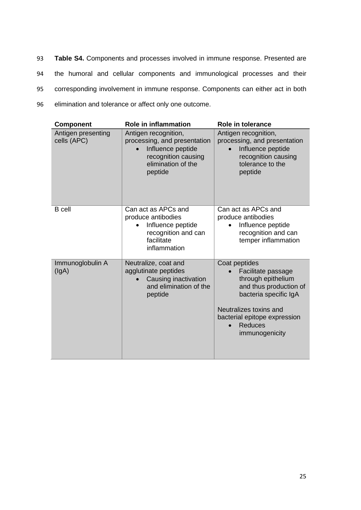**Table S4.** Components and processes involved in immune response. Presented are the humoral and cellular components and immunological processes and their corresponding involvement in immune response. Components can either act in both elimination and tolerance or affect only one outcome.

| <b>Component</b>                  | <b>Role in inflammation</b>                                                                                                       | <b>Role in tolerance</b>                                                                                                                                                                                   |
|-----------------------------------|-----------------------------------------------------------------------------------------------------------------------------------|------------------------------------------------------------------------------------------------------------------------------------------------------------------------------------------------------------|
| Antigen presenting<br>cells (APC) | Antigen recognition,<br>processing, and presentation<br>Influence peptide<br>recognition causing<br>elimination of the<br>peptide | Antigen recognition,<br>processing, and presentation<br>Influence peptide<br>recognition causing<br>tolerance to the<br>peptide                                                                            |
| <b>B</b> cell                     | Can act as APCs and<br>produce antibodies<br>Influence peptide<br>recognition and can<br>facilitate<br>inflammation               | Can act as APCs and<br>produce antibodies<br>Influence peptide<br>recognition and can<br>temper inflammation                                                                                               |
| Immunoglobulin A<br>(lgA)         | Neutralize, coat and<br>agglutinate peptides<br>Causing inactivation<br>and elimination of the<br>peptide                         | Coat peptides<br>Facilitate passage<br>through epithelium<br>and thus production of<br>bacteria specific IgA<br>Neutralizes toxins and<br>bacterial epitope expression<br><b>Reduces</b><br>immunogenicity |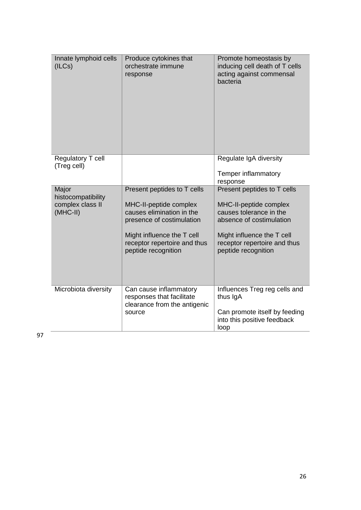| Innate lymphoid cells<br>(ILCs)                               | Produce cytokines that<br>orchestrate immune<br>response                                                                                                                                             | Promote homeostasis by<br>inducing cell death of T cells<br>acting against commensal<br>bacteria                                                                                                  |
|---------------------------------------------------------------|------------------------------------------------------------------------------------------------------------------------------------------------------------------------------------------------------|---------------------------------------------------------------------------------------------------------------------------------------------------------------------------------------------------|
| Regulatory T cell<br>(Treg cell)                              |                                                                                                                                                                                                      | Regulate IgA diversity<br>Temper inflammatory<br>response                                                                                                                                         |
| Major<br>histocompatibility<br>complex class II<br>$(MHC-II)$ | Present peptides to T cells<br>MHC-II-peptide complex<br>causes elimination in the<br>presence of costimulation<br>Might influence the T cell<br>receptor repertoire and thus<br>peptide recognition | Present peptides to T cells<br>MHC-II-peptide complex<br>causes tolerance in the<br>absence of costimulation<br>Might influence the T cell<br>receptor repertoire and thus<br>peptide recognition |
| Microbiota diversity                                          | Can cause inflammatory<br>responses that facilitate<br>clearance from the antigenic<br>source                                                                                                        | Influences Treg reg cells and<br>thus IgA<br>Can promote itself by feeding<br>into this positive feedback<br>loop                                                                                 |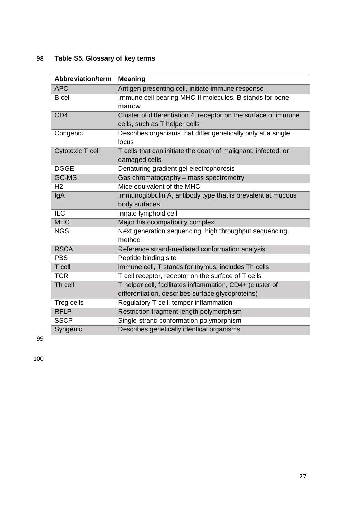# 98 **Table S5. Glossary of key terms**

| <b>Abbreviation/term</b> | <b>Meaning</b>                                                  |
|--------------------------|-----------------------------------------------------------------|
| <b>APC</b>               | Antigen presenting cell, initiate immune response               |
| <b>B</b> cell            | Immune cell bearing MHC-II molecules, B stands for bone         |
|                          | marrow                                                          |
| CD <sub>4</sub>          | Cluster of differentiation 4, receptor on the surface of immune |
|                          | cells, such as T helper cells                                   |
| Congenic                 | Describes organisms that differ genetically only at a single    |
|                          | locus                                                           |
| Cytotoxic T cell         | T cells that can initiate the death of malignant, infected, or  |
|                          | damaged cells                                                   |
| <b>DGGE</b>              | Denaturing gradient gel electrophoresis                         |
| <b>GC-MS</b>             | Gas chromatography - mass spectrometry                          |
| H <sub>2</sub>           | Mice equivalent of the MHC                                      |
| IgA                      | Immunoglobulin A, antibody type that is prevalent at mucous     |
|                          | body surfaces                                                   |
| <b>ILC</b>               | Innate lymphoid cell                                            |
| <b>MHC</b>               | Major histocompatibility complex                                |
| <b>NGS</b>               | Next generation sequencing, high throughput sequencing          |
|                          | method                                                          |
| <b>RSCA</b>              | Reference strand-mediated conformation analysis                 |
| <b>PBS</b>               | Peptide binding site                                            |
| T cell                   | immune cell, T stands for thymus, includes Th cells             |
| <b>TCR</b>               | T cell receptor, receptor on the surface of T cells             |
| Th cell                  | T helper cell, facilitates inflammation, CD4+ (cluster of       |
|                          | differentiation, describes surface glycoproteins)               |
| Treg cells               | Regulatory T cell, temper inflammation                          |
| <b>RFLP</b>              | Restriction fragment-length polymorphism                        |
| <b>SSCP</b>              | Single-strand conformation polymorphism                         |
| Syngenic                 | Describes genetically identical organisms                       |

99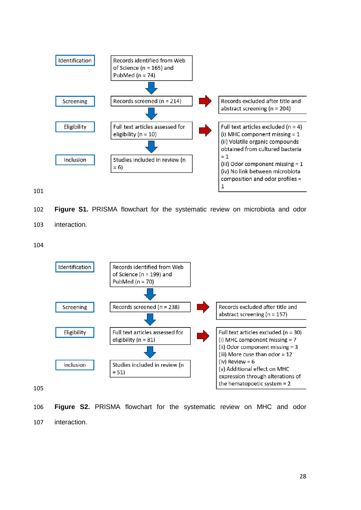

**Figure S1.** PRISMA flowchart for the systematic review on microbiota and odor

interaction.



 **Figure S2.** PRISMA flowchart for the systematic review on MHC and odor interaction.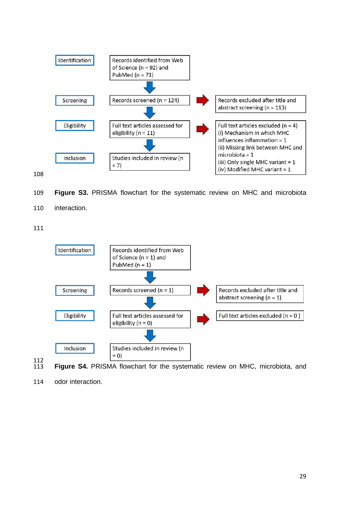



**Figure S3.** PRISMA flowchart for the systematic review on MHC and microbiota

interaction.



- 112<br>113 Figure S4. PRISMA flowchart for the systematic review on MHC, microbiota, and
- odor interaction.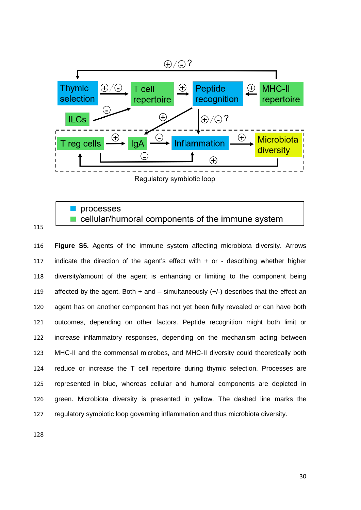

## processes cellular/humoral components of the immune system

 **Figure S5.** Agents of the immune system affecting microbiota diversity. Arrows indicate the direction of the agent's effect with + or - describing whether higher diversity/amount of the agent is enhancing or limiting to the component being 119 affected by the agent. Both  $+$  and  $-$  simultaneously  $(+/-)$  describes that the effect an agent has on another component has not yet been fully revealed or can have both outcomes, depending on other factors. Peptide recognition might both limit or increase inflammatory responses, depending on the mechanism acting between MHC-II and the commensal microbes, and MHC-II diversity could theoretically both reduce or increase the T cell repertoire during thymic selection. Processes are represented in blue, whereas cellular and humoral components are depicted in green. Microbiota diversity is presented in yellow. The dashed line marks the regulatory symbiotic loop governing inflammation and thus microbiota diversity.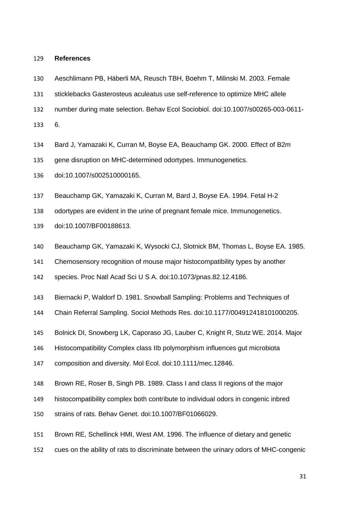#### **References**

- Aeschlimann PB, Häberli MA, Reusch TBH, Boehm T, Milinski M. 2003. Female
- sticklebacks Gasterosteus aculeatus use self-reference to optimize MHC allele
- number during mate selection. Behav Ecol Sociobiol. doi:10.1007/s00265-003-0611-

6.

- Bard J, Yamazaki K, Curran M, Boyse EA, Beauchamp GK. 2000. Effect of B2m
- gene disruption on MHC-determined odortypes. Immunogenetics.
- doi:10.1007/s002510000165.
- Beauchamp GK, Yamazaki K, Curran M, Bard J, Boyse EA. 1994. Fetal H-2

odortypes are evident in the urine of pregnant female mice. Immunogenetics.

- doi:10.1007/BF00188613.
- Beauchamp GK, Yamazaki K, Wysocki CJ, Slotnick BM, Thomas L, Boyse EA. 1985.
- Chemosensory recognition of mouse major histocompatibility types by another

species. Proc Natl Acad Sci U S A. doi:10.1073/pnas.82.12.4186.

- Biernacki P, Waldorf D. 1981. Snowball Sampling: Problems and Techniques of
- Chain Referral Sampling. Sociol Methods Res. doi:10.1177/004912418101000205.
- Bolnick DI, Snowberg LK, Caporaso JG, Lauber C, Knight R, Stutz WE. 2014. Major
- Histocompatibility Complex class IIb polymorphism influences gut microbiota
- composition and diversity. Mol Ecol. doi:10.1111/mec.12846.
- Brown RE, Roser B, Singh PB. 1989. Class I and class II regions of the major
- histocompatibility complex both contribute to individual odors in congenic inbred
- strains of rats. Behav Genet. doi:10.1007/BF01066029.
- Brown RE, Schellinck HMI, West AM. 1996. The influence of dietary and genetic
- cues on the ability of rats to discriminate between the urinary odors of MHC-congenic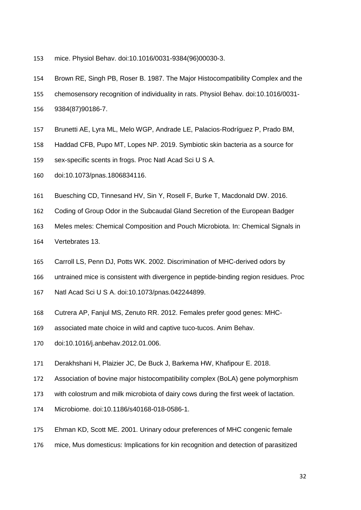- mice. Physiol Behav. doi:10.1016/0031-9384(96)00030-3.
- Brown RE, Singh PB, Roser B. 1987. The Major Histocompatibility Complex and the
- chemosensory recognition of individuality in rats. Physiol Behav. doi:10.1016/0031-
- 9384(87)90186-7.
- Brunetti AE, Lyra ML, Melo WGP, Andrade LE, Palacios-Rodríguez P, Prado BM,
- Haddad CFB, Pupo MT, Lopes NP. 2019. Symbiotic skin bacteria as a source for
- sex-specific scents in frogs. Proc Natl Acad Sci U S A.
- doi:10.1073/pnas.1806834116.
- Buesching CD, Tinnesand HV, Sin Y, Rosell F, Burke T, Macdonald DW. 2016.
- Coding of Group Odor in the Subcaudal Gland Secretion of the European Badger
- Meles meles: Chemical Composition and Pouch Microbiota. In: Chemical Signals in
- Vertebrates 13.
- Carroll LS, Penn DJ, Potts WK. 2002. Discrimination of MHC-derived odors by
- untrained mice is consistent with divergence in peptide-binding region residues. Proc
- Natl Acad Sci U S A. doi:10.1073/pnas.042244899.
- Cutrera AP, Fanjul MS, Zenuto RR. 2012. Females prefer good genes: MHC-
- associated mate choice in wild and captive tuco-tucos. Anim Behav.
- doi:10.1016/j.anbehav.2012.01.006.
- Derakhshani H, Plaizier JC, De Buck J, Barkema HW, Khafipour E. 2018.
- Association of bovine major histocompatibility complex (BoLA) gene polymorphism
- with colostrum and milk microbiota of dairy cows during the first week of lactation.
- Microbiome. doi:10.1186/s40168-018-0586-1.
- Ehman KD, Scott ME. 2001. Urinary odour preferences of MHC congenic female
- mice, Mus domesticus: Implications for kin recognition and detection of parasitized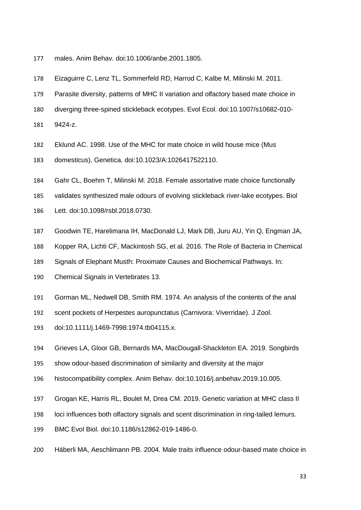- males. Anim Behav. doi:10.1006/anbe.2001.1805.
- Eizaguirre C, Lenz TL, Sommerfeld RD, Harrod C, Kalbe M, Milinski M. 2011.
- Parasite diversity, patterns of MHC II variation and olfactory based mate choice in
- diverging three-spined stickleback ecotypes. Evol Ecol. doi:10.1007/s10682-010-
- 9424-z.
- Eklund AC. 1998. Use of the MHC for mate choice in wild house mice (Mus
- domesticus). Genetica. doi:10.1023/A:1026417522110.
- Gahr CL, Boehm T, Milinski M. 2018. Female assortative mate choice functionally
- validates synthesized male odours of evolving stickleback river-lake ecotypes. Biol
- Lett. doi:10.1098/rsbl.2018.0730.
- Goodwin TE, Harelimana IH, MacDonald LJ, Mark DB, Juru AU, Yin Q, Engman JA,
- Kopper RA, Lichti CF, Mackintosh SG, et al. 2016. The Role of Bacteria in Chemical
- Signals of Elephant Musth: Proximate Causes and Biochemical Pathways. In:
- Chemical Signals in Vertebrates 13.
- Gorman ML, Nedwell DB, Smith RM. 1974. An analysis of the contents of the anal
- scent pockets of Herpestes auropunctatus (Carnivora: Viverridae). J Zool.
- doi:10.1111/j.1469-7998.1974.tb04115.x.
- Grieves LA, Gloor GB, Bernards MA, MacDougall-Shackleton EA. 2019. Songbirds
- show odour-based discrimination of similarity and diversity at the major
- histocompatibility complex. Anim Behav. doi:10.1016/j.anbehav.2019.10.005.
- Grogan KE, Harris RL, Boulet M, Drea CM. 2019. Genetic variation at MHC class II
- loci influences both olfactory signals and scent discrimination in ring-tailed lemurs.
- BMC Evol Biol. doi:10.1186/s12862-019-1486-0.
- Häberli MA, Aeschlimann PB. 2004. Male traits influence odour-based mate choice in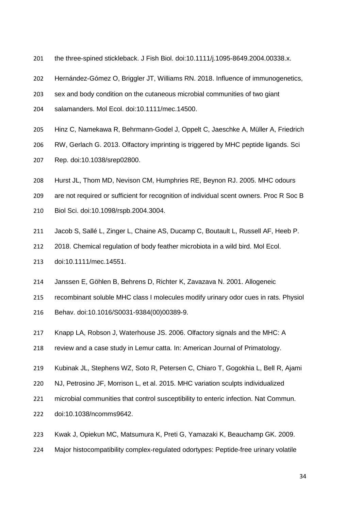- the three-spined stickleback. J Fish Biol. doi:10.1111/j.1095-8649.2004.00338.x.
- Hernández-Gómez O, Briggler JT, Williams RN. 2018. Influence of immunogenetics,
- sex and body condition on the cutaneous microbial communities of two giant
- salamanders. Mol Ecol. doi:10.1111/mec.14500.
- Hinz C, Namekawa R, Behrmann-Godel J, Oppelt C, Jaeschke A, Müller A, Friedrich
- RW, Gerlach G. 2013. Olfactory imprinting is triggered by MHC peptide ligands. Sci
- Rep. doi:10.1038/srep02800.
- Hurst JL, Thom MD, Nevison CM, Humphries RE, Beynon RJ. 2005. MHC odours
- are not required or sufficient for recognition of individual scent owners. Proc R Soc B
- Biol Sci. doi:10.1098/rspb.2004.3004.
- Jacob S, Sallé L, Zinger L, Chaine AS, Ducamp C, Boutault L, Russell AF, Heeb P.
- 2018. Chemical regulation of body feather microbiota in a wild bird. Mol Ecol.
- doi:10.1111/mec.14551.
- Janssen E, Göhlen B, Behrens D, Richter K, Zavazava N. 2001. Allogeneic
- recombinant soluble MHC class I molecules modify urinary odor cues in rats. Physiol
- Behav. doi:10.1016/S0031-9384(00)00389-9.
- Knapp LA, Robson J, Waterhouse JS. 2006. Olfactory signals and the MHC: A
- review and a case study in Lemur catta. In: American Journal of Primatology.
- Kubinak JL, Stephens WZ, Soto R, Petersen C, Chiaro T, Gogokhia L, Bell R, Ajami
- NJ, Petrosino JF, Morrison L, et al. 2015. MHC variation sculpts individualized
- microbial communities that control susceptibility to enteric infection. Nat Commun.
- doi:10.1038/ncomms9642.
- Kwak J, Opiekun MC, Matsumura K, Preti G, Yamazaki K, Beauchamp GK. 2009.
- Major histocompatibility complex-regulated odortypes: Peptide-free urinary volatile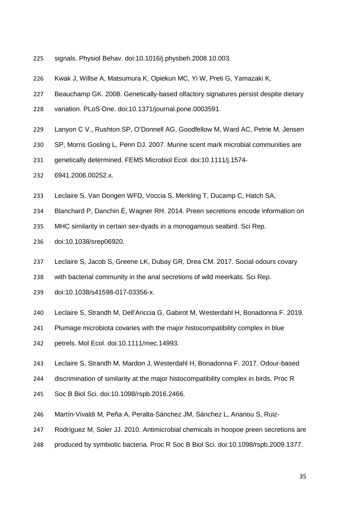- signals. Physiol Behav. doi:10.1016/j.physbeh.2008.10.003.
- Kwak J, Willse A, Matsumura K, Opiekun MC, Yi W, Preti G, Yamazaki K,
- Beauchamp GK. 2008. Genetically-based olfactory signatures persist despite dietary
- variation. PLoS One. doi:10.1371/journal.pone.0003591.
- Lanyon C V., Rushton SP, O'Donnell AG, Goodfellow M, Ward AC, Petrie M, Jensen
- SP, Morris Gosling L, Penn DJ. 2007. Murine scent mark microbial communities are
- genetically determined. FEMS Microbiol Ecol. doi:10.1111/j.1574-
- 6941.2006.00252.x.
- Leclaire S, Van Dongen WFD, Voccia S, Merkling T, Ducamp C, Hatch SA,
- Blanchard P, Danchin É, Wagner RH. 2014. Preen secretions encode information on
- MHC similarity in certain sex-dyads in a monogamous seabird. Sci Rep.
- doi:10.1038/srep06920.
- Leclaire S, Jacob S, Greene LK, Dubay GR, Drea CM. 2017. Social odours covary
- with bacterial community in the anal secretions of wild meerkats. Sci Rep.
- doi:10.1038/s41598-017-03356-x.
- Leclaire S, Strandh M, Dell'Ariccia G, Gabirot M, Westerdahl H, Bonadonna F. 2019.
- Plumage microbiota covaries with the major histocompatibility complex in blue
- petrels. Mol Ecol. doi:10.1111/mec.14993.
- Leclaire S, Strandh M, Mardon J, Westerdahl H, Bonadonna F. 2017. Odour-based
- discrimination of similarity at the major histocompatibility complex in birds. Proc R
- Soc B Biol Sci. doi:10.1098/rspb.2016.2466.
- Martín-Vivaldi M, Peña A, Peralta-Sánchez JM, Sánchez L, Ananou S, Ruiz-
- Rodríguez M, Soler JJ. 2010. Antimicrobial chemicals in hoopoe preen secretions are
- produced by symbiotic bacteria. Proc R Soc B Biol Sci. doi:10.1098/rspb.2009.1377.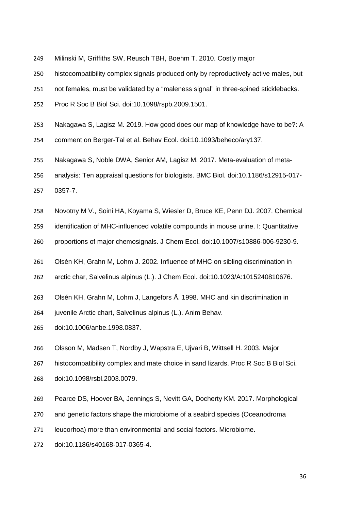- Milinski M, Griffiths SW, Reusch TBH, Boehm T. 2010. Costly major
- histocompatibility complex signals produced only by reproductively active males, but
- not females, must be validated by a "maleness signal" in three-spined sticklebacks.
- Proc R Soc B Biol Sci. doi:10.1098/rspb.2009.1501.
- Nakagawa S, Lagisz M. 2019. How good does our map of knowledge have to be?: A
- comment on Berger-Tal et al. Behav Ecol. doi:10.1093/beheco/ary137.
- Nakagawa S, Noble DWA, Senior AM, Lagisz M. 2017. Meta-evaluation of meta-
- analysis: Ten appraisal questions for biologists. BMC Biol. doi:10.1186/s12915-017-
- 0357-7.
- Novotny M V., Soini HA, Koyama S, Wiesler D, Bruce KE, Penn DJ. 2007. Chemical
- identification of MHC-influenced volatile compounds in mouse urine. I: Quantitative
- proportions of major chemosignals. J Chem Ecol. doi:10.1007/s10886-006-9230-9.
- Olsén KH, Grahn M, Lohm J. 2002. Influence of MHC on sibling discrimination in
- arctic char, Salvelinus alpinus (L.). J Chem Ecol. doi:10.1023/A:1015240810676.
- Olsén KH, Grahn M, Lohm J, Langefors Å. 1998. MHC and kin discrimination in
- juvenile Arctic chart, Salvelinus alpinus (L.). Anim Behav.
- doi:10.1006/anbe.1998.0837.
- Olsson M, Madsen T, Nordby J, Wapstra E, Ujvari B, Wittsell H. 2003. Major
- histocompatibility complex and mate choice in sand lizards. Proc R Soc B Biol Sci.
- doi:10.1098/rsbl.2003.0079.
- Pearce DS, Hoover BA, Jennings S, Nevitt GA, Docherty KM. 2017. Morphological
- and genetic factors shape the microbiome of a seabird species (Oceanodroma
- leucorhoa) more than environmental and social factors. Microbiome.
- doi:10.1186/s40168-017-0365-4.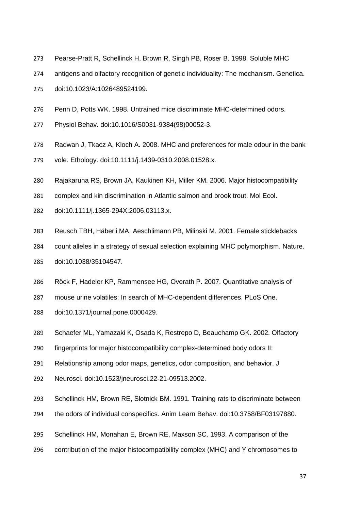- Pearse-Pratt R, Schellinck H, Brown R, Singh PB, Roser B. 1998. Soluble MHC
- antigens and olfactory recognition of genetic individuality: The mechanism. Genetica.
- doi:10.1023/A:1026489524199.
- Penn D, Potts WK. 1998. Untrained mice discriminate MHC-determined odors.
- Physiol Behav. doi:10.1016/S0031-9384(98)00052-3.
- Radwan J, Tkacz A, Kloch A. 2008. MHC and preferences for male odour in the bank
- vole. Ethology. doi:10.1111/j.1439-0310.2008.01528.x.
- Rajakaruna RS, Brown JA, Kaukinen KH, Miller KM. 2006. Major histocompatibility
- complex and kin discrimination in Atlantic salmon and brook trout. Mol Ecol.
- doi:10.1111/j.1365-294X.2006.03113.x.
- Reusch TBH, Häberli MA, Aeschlimann PB, Milinski M. 2001. Female sticklebacks
- count alleles in a strategy of sexual selection explaining MHC polymorphism. Nature.
- doi:10.1038/35104547.
- Röck F, Hadeler KP, Rammensee HG, Overath P. 2007. Quantitative analysis of
- mouse urine volatiles: In search of MHC-dependent differences. PLoS One.
- doi:10.1371/journal.pone.0000429.
- Schaefer ML, Yamazaki K, Osada K, Restrepo D, Beauchamp GK. 2002. Olfactory
- fingerprints for major histocompatibility complex-determined body odors II:
- Relationship among odor maps, genetics, odor composition, and behavior. J
- Neurosci. doi:10.1523/jneurosci.22-21-09513.2002.
- Schellinck HM, Brown RE, Slotnick BM. 1991. Training rats to discriminate between
- the odors of individual conspecifics. Anim Learn Behav. doi:10.3758/BF03197880.
- Schellinck HM, Monahan E, Brown RE, Maxson SC. 1993. A comparison of the
- contribution of the major histocompatibility complex (MHC) and Y chromosomes to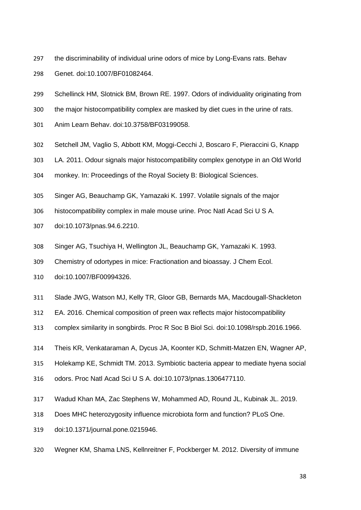- the discriminability of individual urine odors of mice by Long-Evans rats. Behav Genet. doi:10.1007/BF01082464.
- Schellinck HM, Slotnick BM, Brown RE. 1997. Odors of individuality originating from
- the major histocompatibility complex are masked by diet cues in the urine of rats.
- Anim Learn Behav. doi:10.3758/BF03199058.
- Setchell JM, Vaglio S, Abbott KM, Moggi-Cecchi J, Boscaro F, Pieraccini G, Knapp
- LA. 2011. Odour signals major histocompatibility complex genotype in an Old World
- monkey. In: Proceedings of the Royal Society B: Biological Sciences.
- Singer AG, Beauchamp GK, Yamazaki K. 1997. Volatile signals of the major
- histocompatibility complex in male mouse urine. Proc Natl Acad Sci U S A.
- doi:10.1073/pnas.94.6.2210.
- Singer AG, Tsuchiya H, Wellington JL, Beauchamp GK, Yamazaki K. 1993.
- Chemistry of odortypes in mice: Fractionation and bioassay. J Chem Ecol.
- doi:10.1007/BF00994326.
- Slade JWG, Watson MJ, Kelly TR, Gloor GB, Bernards MA, Macdougall-Shackleton
- EA. 2016. Chemical composition of preen wax reflects major histocompatibility
- complex similarity in songbirds. Proc R Soc B Biol Sci. doi:10.1098/rspb.2016.1966.
- Theis KR, Venkataraman A, Dycus JA, Koonter KD, Schmitt-Matzen EN, Wagner AP,
- Holekamp KE, Schmidt TM. 2013. Symbiotic bacteria appear to mediate hyena social
- odors. Proc Natl Acad Sci U S A. doi:10.1073/pnas.1306477110.
- Wadud Khan MA, Zac Stephens W, Mohammed AD, Round JL, Kubinak JL. 2019.
- Does MHC heterozygosity influence microbiota form and function? PLoS One.
- doi:10.1371/journal.pone.0215946.
- Wegner KM, Shama LNS, Kellnreitner F, Pockberger M. 2012. Diversity of immune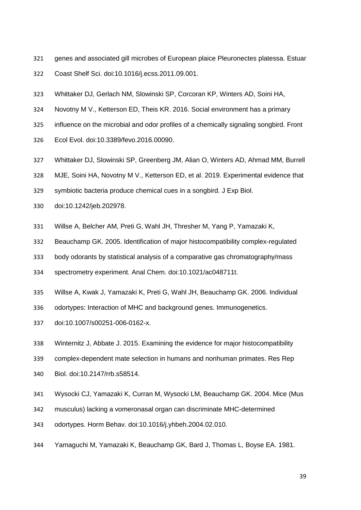- genes and associated gill microbes of European plaice Pleuronectes platessa. Estuar
- Coast Shelf Sci. doi:10.1016/j.ecss.2011.09.001.
- Whittaker DJ, Gerlach NM, Slowinski SP, Corcoran KP, Winters AD, Soini HA,
- Novotny M V., Ketterson ED, Theis KR. 2016. Social environment has a primary
- influence on the microbial and odor profiles of a chemically signaling songbird. Front
- Ecol Evol. doi:10.3389/fevo.2016.00090.
- Whittaker DJ, Slowinski SP, Greenberg JM, Alian O, Winters AD, Ahmad MM, Burrell
- MJE, Soini HA, Novotny M V., Ketterson ED, et al. 2019. Experimental evidence that
- symbiotic bacteria produce chemical cues in a songbird. J Exp Biol.
- doi:10.1242/jeb.202978.
- Willse A, Belcher AM, Preti G, Wahl JH, Thresher M, Yang P, Yamazaki K,
- Beauchamp GK. 2005. Identification of major histocompatibility complex-regulated
- body odorants by statistical analysis of a comparative gas chromatography/mass

spectrometry experiment. Anal Chem. doi:10.1021/ac048711t.

- Willse A, Kwak J, Yamazaki K, Preti G, Wahl JH, Beauchamp GK. 2006. Individual
- odortypes: Interaction of MHC and background genes. Immunogenetics.
- doi:10.1007/s00251-006-0162-x.
- Winternitz J, Abbate J. 2015. Examining the evidence for major histocompatibility
- complex-dependent mate selection in humans and nonhuman primates. Res Rep
- Biol. doi:10.2147/rrb.s58514.
- Wysocki CJ, Yamazaki K, Curran M, Wysocki LM, Beauchamp GK. 2004. Mice (Mus
- musculus) lacking a vomeronasal organ can discriminate MHC-determined
- odortypes. Horm Behav. doi:10.1016/j.yhbeh.2004.02.010.
- Yamaguchi M, Yamazaki K, Beauchamp GK, Bard J, Thomas L, Boyse EA. 1981.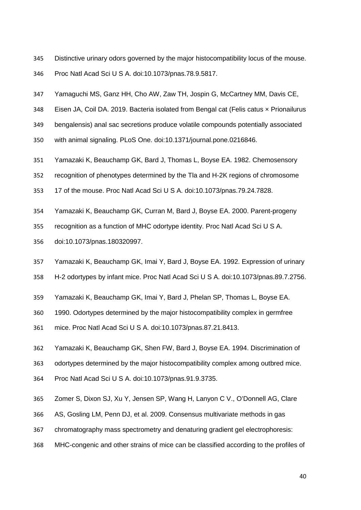- Distinctive urinary odors governed by the major histocompatibility locus of the mouse.
- Proc Natl Acad Sci U S A. doi:10.1073/pnas.78.9.5817.
- Yamaguchi MS, Ganz HH, Cho AW, Zaw TH, Jospin G, McCartney MM, Davis CE,
- 348 Eisen JA, Coil DA. 2019. Bacteria isolated from Bengal cat (Felis catus x Prionailurus
- bengalensis) anal sac secretions produce volatile compounds potentially associated
- with animal signaling. PLoS One. doi:10.1371/journal.pone.0216846.
- Yamazaki K, Beauchamp GK, Bard J, Thomas L, Boyse EA. 1982. Chemosensory
- recognition of phenotypes determined by the Tla and H-2K regions of chromosome
- 17 of the mouse. Proc Natl Acad Sci U S A. doi:10.1073/pnas.79.24.7828.
- Yamazaki K, Beauchamp GK, Curran M, Bard J, Boyse EA. 2000. Parent-progeny
- recognition as a function of MHC odortype identity. Proc Natl Acad Sci U S A.
- doi:10.1073/pnas.180320997.
- Yamazaki K, Beauchamp GK, Imai Y, Bard J, Boyse EA. 1992. Expression of urinary
- H-2 odortypes by infant mice. Proc Natl Acad Sci U S A. doi:10.1073/pnas.89.7.2756.
- Yamazaki K, Beauchamp GK, Imai Y, Bard J, Phelan SP, Thomas L, Boyse EA.
- 1990. Odortypes determined by the major histocompatibility complex in germfree
- mice. Proc Natl Acad Sci U S A. doi:10.1073/pnas.87.21.8413.
- Yamazaki K, Beauchamp GK, Shen FW, Bard J, Boyse EA. 1994. Discrimination of
- odortypes determined by the major histocompatibility complex among outbred mice.
- Proc Natl Acad Sci U S A. doi:10.1073/pnas.91.9.3735.
- Zomer S, Dixon SJ, Xu Y, Jensen SP, Wang H, Lanyon C V., O'Donnell AG, Clare
- AS, Gosling LM, Penn DJ, et al. 2009. Consensus multivariate methods in gas
- chromatography mass spectrometry and denaturing gradient gel electrophoresis:
- MHC-congenic and other strains of mice can be classified according to the profiles of